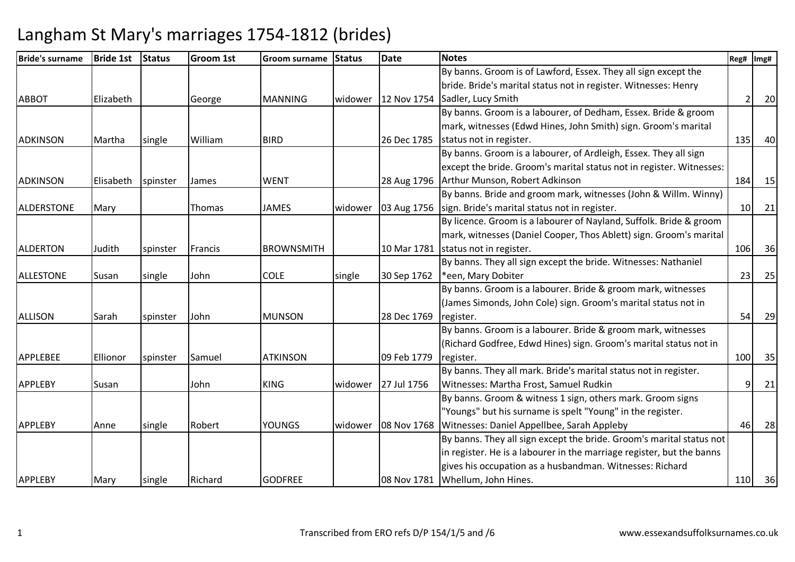| <b>Bride's surname</b> | <b>Bride 1st</b> | <b>Status</b> | <b>Groom 1st</b> | Groom surname     | <b>Status</b> | <b>Date</b>             | <b>Notes</b>                                                          | Reg# | Img# |
|------------------------|------------------|---------------|------------------|-------------------|---------------|-------------------------|-----------------------------------------------------------------------|------|------|
|                        |                  |               |                  |                   |               |                         | By banns. Groom is of Lawford, Essex. They all sign except the        |      |      |
|                        |                  |               |                  |                   |               |                         | bride. Bride's marital status not in register. Witnesses: Henry       |      |      |
| <b>ABBOT</b>           | Elizabeth        |               | George           | <b>MANNING</b>    |               | widower   $12$ Nov 1754 | Sadler, Lucy Smith                                                    |      | 20   |
|                        |                  |               |                  |                   |               |                         | By banns. Groom is a labourer, of Dedham, Essex. Bride & groom        |      |      |
|                        |                  |               |                  |                   |               |                         | mark, witnesses (Edwd Hines, John Smith) sign. Groom's marital        |      |      |
| <b>ADKINSON</b>        | Martha           | single        | William          | <b>BIRD</b>       |               | 26 Dec 1785             | status not in register.                                               | 135  | 40   |
|                        |                  |               |                  |                   |               |                         | By banns. Groom is a labourer, of Ardleigh, Essex. They all sign      |      |      |
|                        |                  |               |                  |                   |               |                         | except the bride. Groom's marital status not in register. Witnesses:  |      |      |
| <b>ADKINSON</b>        | Elisabeth        | spinster      | James            | <b>WENT</b>       |               | 28 Aug 1796             | Arthur Munson, Robert Adkinson                                        | 184  | 15   |
|                        |                  |               |                  |                   |               |                         | By banns. Bride and groom mark, witnesses (John & Willm. Winny)       |      |      |
| <b>ALDERSTONE</b>      | Mary             |               | <b>Thomas</b>    | <b>JAMES</b>      | widower       | 03 Aug 1756             | sign. Bride's marital status not in register.                         | 10   | 21   |
|                        |                  |               |                  |                   |               |                         | By licence. Groom is a labourer of Nayland, Suffolk. Bride & groom    |      |      |
|                        |                  |               |                  |                   |               |                         | mark, witnesses (Daniel Cooper, Thos Ablett) sign. Groom's marital    |      |      |
| <b>ALDERTON</b>        | Judith           | spinster      | Francis          | <b>BROWNSMITH</b> |               |                         | 10 Mar 1781 status not in register.                                   | 106  | 36   |
|                        |                  |               |                  |                   |               |                         | By banns. They all sign except the bride. Witnesses: Nathaniel        |      |      |
| <b>ALLESTONE</b>       | Susan            | single        | John             | <b>COLE</b>       | single        | 30 Sep 1762             | *een, Mary Dobiter                                                    | 23   | 25   |
|                        |                  |               |                  |                   |               |                         | By banns. Groom is a labourer. Bride & groom mark, witnesses          |      |      |
|                        |                  |               |                  |                   |               |                         | (James Simonds, John Cole) sign. Groom's marital status not in        |      |      |
| <b>ALLISON</b>         | Sarah            | spinster      | John             | <b>MUNSON</b>     |               | 28 Dec 1769             | register.                                                             | 54   | 29   |
|                        |                  |               |                  |                   |               |                         | By banns. Groom is a labourer. Bride & groom mark, witnesses          |      |      |
|                        |                  |               |                  |                   |               |                         | (Richard Godfree, Edwd Hines) sign. Groom's marital status not in     |      |      |
| <b>APPLEBEE</b>        | Ellionor         | spinster      | Samuel           | <b>ATKINSON</b>   |               | 09 Feb 1779             | register.                                                             | 100  | 35   |
|                        |                  |               |                  |                   |               |                         | By banns. They all mark. Bride's marital status not in register.      |      |      |
| <b>APPLEBY</b>         | Susan            |               | John             | <b>KING</b>       | widower       | 27 Jul 1756             | Witnesses: Martha Frost, Samuel Rudkin                                | 9    | 21   |
|                        |                  |               |                  |                   |               |                         | By banns. Groom & witness 1 sign, others mark. Groom signs            |      |      |
|                        |                  |               |                  |                   |               |                         | "Youngs" but his surname is spelt "Young" in the register.            |      |      |
| <b>APPLEBY</b>         | Anne             | single        | Robert           | <b>YOUNGS</b>     | widower       | 08 Nov 1768             | Witnesses: Daniel Appellbee, Sarah Appleby                            | 46   | 28   |
|                        |                  |               |                  |                   |               |                         | By banns. They all sign except the bride. Groom's marital status not  |      |      |
|                        |                  |               |                  |                   |               |                         | in register. He is a labourer in the marriage register, but the banns |      |      |
|                        |                  |               |                  |                   |               |                         | gives his occupation as a husbandman. Witnesses: Richard              |      |      |
| <b>APPLEBY</b>         | Mary             | single        | Richard          | <b>GODFREE</b>    |               | 08 Nov 1781             | Whellum, John Hines.                                                  | 110  | 36   |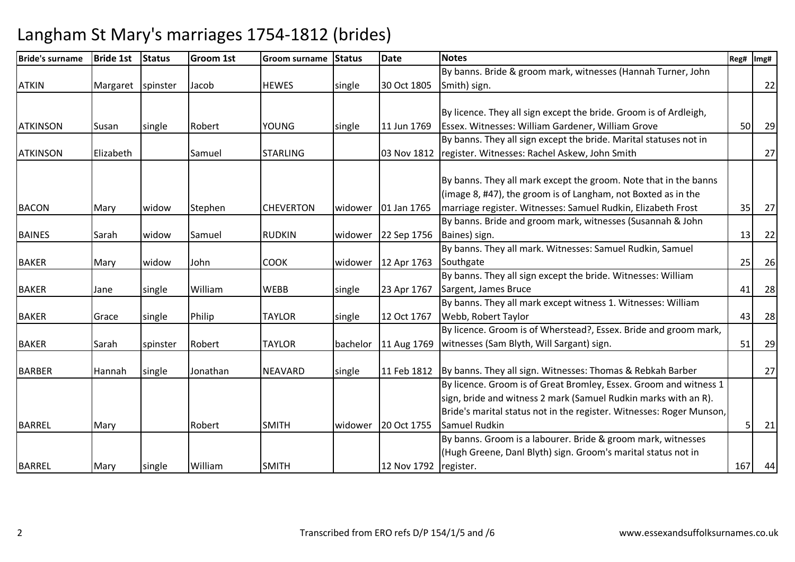| <b>Bride's surname</b> | <b>Bride 1st</b> | <b>Status</b> | <b>Groom 1st</b> | Groom surname    | <b>Status</b> | <b>Date</b> | <b>Notes</b>                                                             | Reg# | Img# |
|------------------------|------------------|---------------|------------------|------------------|---------------|-------------|--------------------------------------------------------------------------|------|------|
|                        |                  |               |                  |                  |               |             | By banns. Bride & groom mark, witnesses (Hannah Turner, John             |      |      |
| <b>ATKIN</b>           | Margaret         | spinster      | Jacob            | <b>HEWES</b>     | single        | 30 Oct 1805 | Smith) sign.                                                             |      | 22   |
|                        |                  |               |                  |                  |               |             |                                                                          |      |      |
|                        |                  |               |                  |                  |               |             | By licence. They all sign except the bride. Groom is of Ardleigh,        |      |      |
| <b>ATKINSON</b>        | Susan            | single        | Robert           | <b>YOUNG</b>     | single        | 11 Jun 1769 | Essex. Witnesses: William Gardener, William Grove                        | 50   | 29   |
|                        |                  |               |                  |                  |               |             | By banns. They all sign except the bride. Marital statuses not in        |      |      |
| <b>ATKINSON</b>        | Elizabeth        |               | Samuel           | <b>STARLING</b>  |               | 03 Nov 1812 | register. Witnesses: Rachel Askew, John Smith                            |      | 27   |
|                        |                  |               |                  |                  |               |             |                                                                          |      |      |
|                        |                  |               |                  |                  |               |             | By banns. They all mark except the groom. Note that in the banns         |      |      |
|                        |                  |               |                  |                  |               |             | (image 8, #47), the groom is of Langham, not Boxted as in the            |      |      |
| <b>BACON</b>           | Mary             | widow         | Stephen          | <b>CHEVERTON</b> | widower       | 01 Jan 1765 | marriage register. Witnesses: Samuel Rudkin, Elizabeth Frost             | 35   | 27   |
|                        |                  |               |                  |                  |               |             | By banns. Bride and groom mark, witnesses (Susannah & John               |      |      |
| <b>BAINES</b>          | Sarah            | widow         | Samuel           | <b>RUDKIN</b>    | widower       | 22 Sep 1756 | Baines) sign.                                                            | 13   | 22   |
|                        |                  |               |                  |                  |               |             | By banns. They all mark. Witnesses: Samuel Rudkin, Samuel                |      |      |
| <b>BAKER</b>           | Mary             | widow         | John             | <b>COOK</b>      | widower       | 12 Apr 1763 | Southgate                                                                | 25   | 26   |
|                        |                  |               |                  |                  |               |             | By banns. They all sign except the bride. Witnesses: William             |      |      |
| <b>BAKER</b>           | Jane             | single        | William          | <b>WEBB</b>      | single        | 23 Apr 1767 | Sargent, James Bruce                                                     | 41   | 28   |
|                        |                  |               |                  |                  |               |             | By banns. They all mark except witness 1. Witnesses: William             |      |      |
| <b>BAKER</b>           | Grace            | single        | Philip           | <b>TAYLOR</b>    | single        | 12 Oct 1767 | Webb, Robert Taylor                                                      | 43   | 28   |
|                        |                  |               |                  |                  |               |             | By licence. Groom is of Wherstead?, Essex. Bride and groom mark,         |      |      |
| <b>BAKER</b>           | Sarah            | spinster      | Robert           | <b>TAYLOR</b>    | bachelor      | 11 Aug 1769 | witnesses (Sam Blyth, Will Sargant) sign.                                | 51   | 29   |
|                        |                  |               |                  |                  |               |             |                                                                          |      |      |
| <b>BARBER</b>          | Hannah           | single        | Jonathan         | <b>NEAVARD</b>   | single        |             | 11 Feb 1812   By banns. They all sign. Witnesses: Thomas & Rebkah Barber |      | 27   |
|                        |                  |               |                  |                  |               |             | By licence. Groom is of Great Bromley, Essex. Groom and witness 1        |      |      |
|                        |                  |               |                  |                  |               |             | sign, bride and witness 2 mark (Samuel Rudkin marks with an R).          |      |      |
|                        |                  |               |                  |                  |               |             | Bride's marital status not in the register. Witnesses: Roger Munson,     |      |      |
| <b>BARREL</b>          | Mary             |               | Robert           | <b>SMITH</b>     | widower       | 20 Oct 1755 | Samuel Rudkin                                                            |      | 21   |
|                        |                  |               |                  |                  |               |             | By banns. Groom is a labourer. Bride & groom mark, witnesses             |      |      |
|                        |                  |               |                  |                  |               |             | (Hugh Greene, Danl Blyth) sign. Groom's marital status not in            |      |      |
| <b>BARREL</b>          | Mary             | single        | William          | <b>SMITH</b>     |               | 12 Nov 1792 | register.                                                                | 167  | 44   |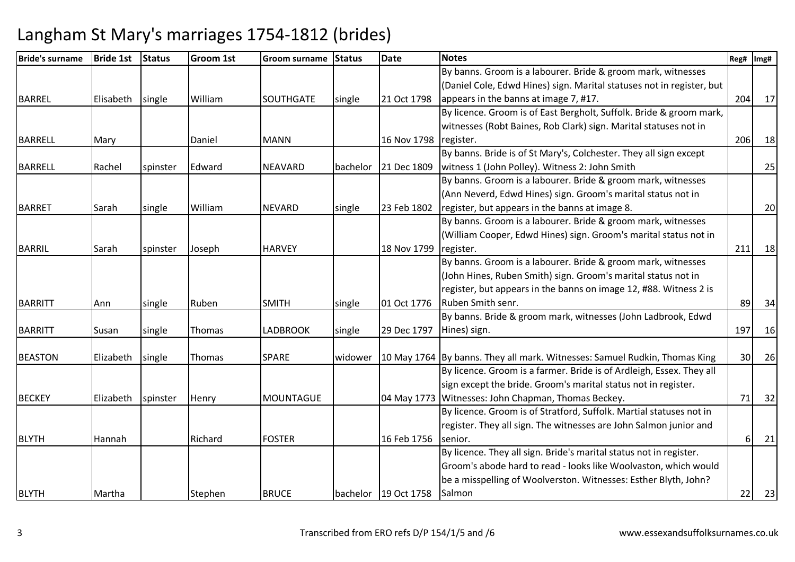| <b>Bride's surname</b> | <b>Bride 1st</b> | <b>Status</b> | <b>Groom 1st</b> | Groom surname    | <b>Status</b> | <b>Date</b>          | <b>Notes</b>                                                               | Reg# | Img# |
|------------------------|------------------|---------------|------------------|------------------|---------------|----------------------|----------------------------------------------------------------------------|------|------|
|                        |                  |               |                  |                  |               |                      | By banns. Groom is a labourer. Bride & groom mark, witnesses               |      |      |
|                        |                  |               |                  |                  |               |                      | (Daniel Cole, Edwd Hines) sign. Marital statuses not in register, but      |      |      |
| <b>BARREL</b>          | Elisabeth        | single        | William          | <b>SOUTHGATE</b> | single        | 21 Oct 1798          | appears in the banns at image 7, #17.                                      | 204  | 17   |
|                        |                  |               |                  |                  |               |                      | By licence. Groom is of East Bergholt, Suffolk. Bride & groom mark,        |      |      |
|                        |                  |               |                  |                  |               |                      | witnesses (Robt Baines, Rob Clark) sign. Marital statuses not in           |      |      |
| <b>BARRELL</b>         | Mary             |               | Daniel           | <b>MANN</b>      |               | 16 Nov 1798          | register.                                                                  | 206  | 18   |
|                        |                  |               |                  |                  |               |                      | By banns. Bride is of St Mary's, Colchester. They all sign except          |      |      |
| <b>BARRELL</b>         | Rachel           | spinster      | Edward           | NEAVARD          | bachelor      | 21 Dec 1809          | witness 1 (John Polley). Witness 2: John Smith                             |      | 25   |
|                        |                  |               |                  |                  |               |                      | By banns. Groom is a labourer. Bride & groom mark, witnesses               |      |      |
|                        |                  |               |                  |                  |               |                      | (Ann Neverd, Edwd Hines) sign. Groom's marital status not in               |      |      |
| <b>BARRET</b>          | Sarah            | single        | William          | <b>NEVARD</b>    | single        | 23 Feb 1802          | register, but appears in the banns at image 8.                             |      | 20   |
|                        |                  |               |                  |                  |               |                      | By banns. Groom is a labourer. Bride & groom mark, witnesses               |      |      |
|                        |                  |               |                  |                  |               |                      | (William Cooper, Edwd Hines) sign. Groom's marital status not in           |      |      |
| BARRIL                 | Sarah            | spinster      | Joseph           | <b>HARVEY</b>    |               | 18 Nov 1799          | register.                                                                  | 211  | 18   |
|                        |                  |               |                  |                  |               |                      | By banns. Groom is a labourer. Bride & groom mark, witnesses               |      |      |
|                        |                  |               |                  |                  |               |                      | (John Hines, Ruben Smith) sign. Groom's marital status not in              |      |      |
|                        |                  |               |                  |                  |               |                      | register, but appears in the banns on image 12, #88. Witness 2 is          |      |      |
| <b>BARRITT</b>         | Ann              | single        | Ruben            | <b>SMITH</b>     | single        | 01 Oct 1776          | Ruben Smith senr.                                                          | 89   | 34   |
|                        |                  |               |                  |                  |               |                      | By banns. Bride & groom mark, witnesses (John Ladbrook, Edwd               |      |      |
| <b>BARRITT</b>         | Susan            | single        | Thomas           | <b>LADBROOK</b>  | single        | 29 Dec 1797          | Hines) sign.                                                               | 197  | 16   |
|                        |                  |               |                  |                  |               |                      |                                                                            |      |      |
| <b>BEASTON</b>         | Elizabeth        | single        | Thomas           | <b>SPARE</b>     | widower       |                      | 10 May 1764 By banns. They all mark. Witnesses: Samuel Rudkin, Thomas King | 30   | 26   |
|                        |                  |               |                  |                  |               |                      | By licence. Groom is a farmer. Bride is of Ardleigh, Essex. They all       |      |      |
|                        |                  |               |                  |                  |               |                      | sign except the bride. Groom's marital status not in register.             |      |      |
| <b>BECKEY</b>          | Elizabeth        | spinster      | Henry            | <b>MOUNTAGUE</b> |               |                      | 04 May 1773 Witnesses: John Chapman, Thomas Beckey.                        | 71   | 32   |
|                        |                  |               |                  |                  |               |                      | By licence. Groom is of Stratford, Suffolk. Martial statuses not in        |      |      |
|                        |                  |               |                  |                  |               |                      | register. They all sign. The witnesses are John Salmon junior and          |      |      |
| <b>BLYTH</b>           | Hannah           |               | Richard          | <b>FOSTER</b>    |               | 16 Feb 1756          | senior.                                                                    | 61   | 21   |
|                        |                  |               |                  |                  |               |                      | By licence. They all sign. Bride's marital status not in register.         |      |      |
|                        |                  |               |                  |                  |               |                      | Groom's abode hard to read - looks like Woolvaston, which would            |      |      |
|                        |                  |               |                  |                  |               |                      | be a misspelling of Woolverston. Witnesses: Esther Blyth, John?            |      |      |
| <b>BLYTH</b>           | Martha           |               | Stephen          | <b>BRUCE</b>     |               | bachelor 19 Oct 1758 | Salmon                                                                     | 22   | 23   |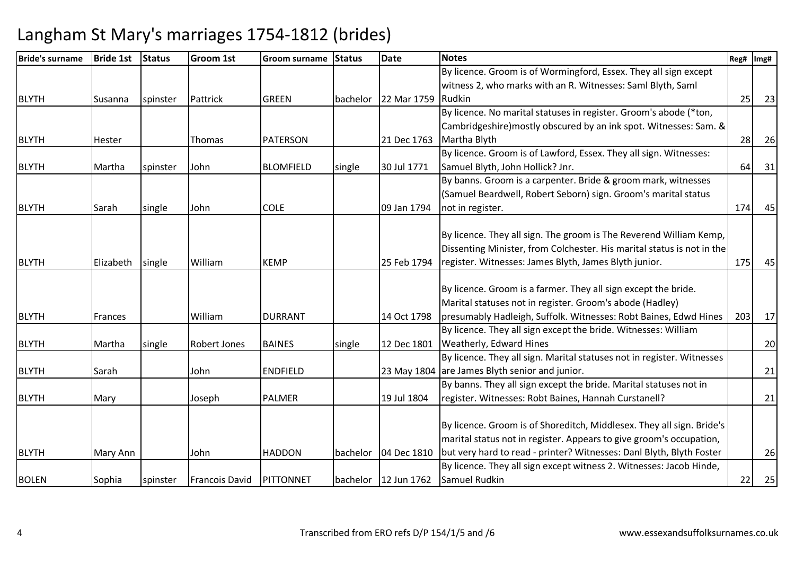| <b>Bride's surname</b> | <b>Bride 1st</b> | Status   | Groom 1st           | <b>IGroom surname</b> | <b>Status</b> | <b>Date</b>          | <b>Notes</b>                                                           | Reg# | Img# |
|------------------------|------------------|----------|---------------------|-----------------------|---------------|----------------------|------------------------------------------------------------------------|------|------|
|                        |                  |          |                     |                       |               |                      | By licence. Groom is of Wormingford, Essex. They all sign except       |      |      |
|                        |                  |          |                     |                       |               |                      | witness 2, who marks with an R. Witnesses: Saml Blyth, Saml            |      |      |
| <b>BLYTH</b>           | Susanna          | spinster | Pattrick            | <b>GREEN</b>          | bachelor      | 22 Mar 1759          | Rudkin                                                                 | 25   | 23   |
|                        |                  |          |                     |                       |               |                      | By licence. No marital statuses in register. Groom's abode (*ton,      |      |      |
|                        |                  |          |                     |                       |               |                      | Cambridgeshire) mostly obscured by an ink spot. Witnesses: Sam. &      |      |      |
| <b>BLYTH</b>           | <b>Hester</b>    |          | <b>Thomas</b>       | <b>PATERSON</b>       |               | 21 Dec 1763          | Martha Blyth                                                           | 28   | 26   |
|                        |                  |          |                     |                       |               |                      | By licence. Groom is of Lawford, Essex. They all sign. Witnesses:      |      |      |
| <b>BLYTH</b>           | Martha           | spinster | John                | <b>BLOMFIELD</b>      | single        | 30 Jul 1771          | Samuel Blyth, John Hollick? Jnr.                                       | 64   | 31   |
|                        |                  |          |                     |                       |               |                      | By banns. Groom is a carpenter. Bride & groom mark, witnesses          |      |      |
|                        |                  |          |                     |                       |               |                      | (Samuel Beardwell, Robert Seborn) sign. Groom's marital status         |      |      |
| <b>BLYTH</b>           | Sarah            | single   | John                | <b>COLE</b>           |               | 09 Jan 1794          | not in register.                                                       | 174  | 45   |
|                        |                  |          |                     |                       |               |                      |                                                                        |      |      |
|                        |                  |          |                     |                       |               |                      | By licence. They all sign. The groom is The Reverend William Kemp,     |      |      |
|                        |                  |          |                     |                       |               |                      | Dissenting Minister, from Colchester. His marital status is not in the |      |      |
| <b>BLYTH</b>           | Elizabeth        | single   | William             | <b>KEMP</b>           |               | 25 Feb 1794          | register. Witnesses: James Blyth, James Blyth junior.                  | 175  | 45   |
|                        |                  |          |                     |                       |               |                      |                                                                        |      |      |
|                        |                  |          |                     |                       |               |                      | By licence. Groom is a farmer. They all sign except the bride.         |      |      |
|                        |                  |          |                     |                       |               |                      | Marital statuses not in register. Groom's abode (Hadley)               |      |      |
| <b>BLYTH</b>           | Frances          |          | William             | <b>DURRANT</b>        |               | 14 Oct 1798          | presumably Hadleigh, Suffolk. Witnesses: Robt Baines, Edwd Hines       | 203  | 17   |
|                        |                  |          |                     |                       |               |                      | By licence. They all sign except the bride. Witnesses: William         |      |      |
| <b>BLYTH</b>           | Martha           | single   | <b>Robert Jones</b> | <b>BAINES</b>         | single        | 12 Dec 1801          | Weatherly, Edward Hines                                                |      | 20   |
|                        |                  |          |                     |                       |               |                      | By licence. They all sign. Marital statuses not in register. Witnesses |      |      |
| <b>BLYTH</b>           | Sarah            |          | John                | <b>ENDFIELD</b>       |               |                      | 23 May 1804 are James Blyth senior and junior.                         |      | 21   |
|                        |                  |          |                     |                       |               |                      | By banns. They all sign except the bride. Marital statuses not in      |      |      |
| <b>BLYTH</b>           | Mary             |          | Joseph              | <b>PALMER</b>         |               | 19 Jul 1804          | register. Witnesses: Robt Baines, Hannah Curstanell?                   |      | 21   |
|                        |                  |          |                     |                       |               |                      |                                                                        |      |      |
|                        |                  |          |                     |                       |               |                      | By licence. Groom is of Shoreditch, Middlesex. They all sign. Bride's  |      |      |
|                        |                  |          |                     |                       |               |                      | marital status not in register. Appears to give groom's occupation,    |      |      |
| <b>BLYTH</b>           | Mary Ann         |          | John                | <b>HADDON</b>         | bachelor      | 04 Dec 1810          | but very hard to read - printer? Witnesses: Danl Blyth, Blyth Foster   |      | 26   |
|                        |                  |          |                     |                       |               |                      | By licence. They all sign except witness 2. Witnesses: Jacob Hinde,    |      |      |
| <b>BOLEN</b>           | Sophia           | spinster | Francois David      | PITTONNET             |               | bachelor 12 Jun 1762 | Samuel Rudkin                                                          | 22   | 25   |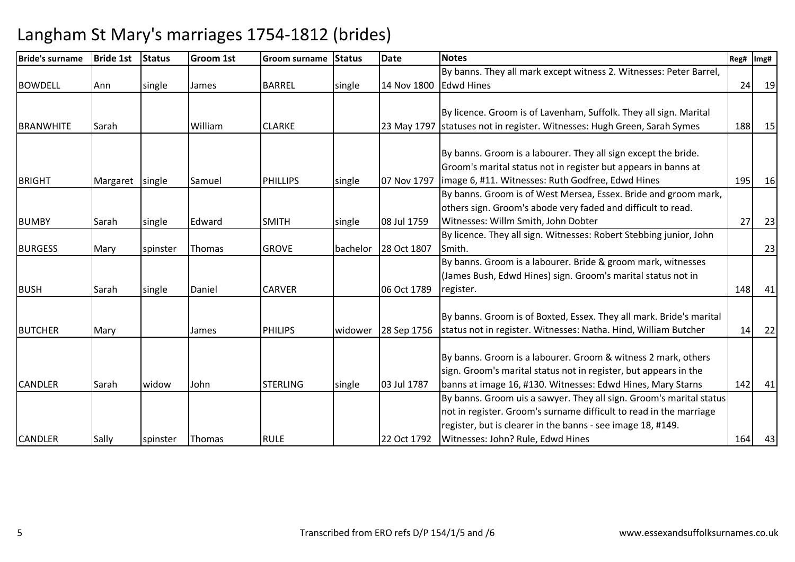| Bride's surname  | <b>Bride 1st</b> | <b>Status</b> | <b>Groom 1st</b> | <b>Groom surname</b> | <b>Status</b> | <b>Date</b> | <b>Notes</b>                                                             | Reg# | Img# |
|------------------|------------------|---------------|------------------|----------------------|---------------|-------------|--------------------------------------------------------------------------|------|------|
|                  |                  |               |                  |                      |               |             | By banns. They all mark except witness 2. Witnesses: Peter Barrel,       |      |      |
| <b>BOWDELL</b>   | Ann              | single        | James            | <b>BARREL</b>        | single        | 14 Nov 1800 | <b>Edwd Hines</b>                                                        | 24   | 19   |
|                  |                  |               |                  |                      |               |             |                                                                          |      |      |
|                  |                  |               |                  |                      |               |             | By licence. Groom is of Lavenham, Suffolk. They all sign. Marital        |      |      |
| <b>BRANWHITE</b> | Sarah            |               | William          | <b>CLARKE</b>        |               |             | 23 May 1797 statuses not in register. Witnesses: Hugh Green, Sarah Symes | 188  | 15   |
|                  |                  |               |                  |                      |               |             |                                                                          |      |      |
|                  |                  |               |                  |                      |               |             | By banns. Groom is a labourer. They all sign except the bride.           |      |      |
|                  |                  |               |                  |                      |               |             | Groom's marital status not in register but appears in banns at           |      |      |
| <b>BRIGHT</b>    | Margaret single  |               | Samuel           | <b>PHILLIPS</b>      | single        | 07 Nov 1797 | limage 6, #11. Witnesses: Ruth Godfree, Edwd Hines                       | 195  | 16   |
|                  |                  |               |                  |                      |               |             | By banns. Groom is of West Mersea, Essex. Bride and groom mark,          |      |      |
|                  |                  |               |                  |                      |               |             | others sign. Groom's abode very faded and difficult to read.             |      |      |
| <b>BUMBY</b>     | Sarah            | single        | Edward           | <b>SMITH</b>         | single        | 08 Jul 1759 | Witnesses: Willm Smith, John Dobter                                      | 27   | 23   |
|                  |                  |               |                  |                      |               |             | By licence. They all sign. Witnesses: Robert Stebbing junior, John       |      |      |
| <b>BURGESS</b>   | Mary             | spinster      | Thomas           | <b>GROVE</b>         | bachelor      | 28 Oct 1807 | Smith.                                                                   |      | 23   |
|                  |                  |               |                  |                      |               |             | By banns. Groom is a labourer. Bride & groom mark, witnesses             |      |      |
|                  |                  |               |                  |                      |               |             | (James Bush, Edwd Hines) sign. Groom's marital status not in             |      |      |
| <b>BUSH</b>      | Sarah            | single        | Daniel           | <b>CARVER</b>        |               | 06 Oct 1789 | register.                                                                | 148  | 41   |
|                  |                  |               |                  |                      |               |             |                                                                          |      |      |
|                  |                  |               |                  |                      |               |             | By banns. Groom is of Boxted, Essex. They all mark. Bride's marital      |      |      |
| <b>BUTCHER</b>   | Mary             |               | James            | <b>PHILIPS</b>       | widower       | 28 Sep 1756 | status not in register. Witnesses: Natha. Hind, William Butcher          | 14   | 22   |
|                  |                  |               |                  |                      |               |             |                                                                          |      |      |
|                  |                  |               |                  |                      |               |             | By banns. Groom is a labourer. Groom & witness 2 mark, others            |      |      |
|                  |                  |               |                  |                      |               |             | sign. Groom's marital status not in register, but appears in the         |      |      |
| <b>CANDLER</b>   | Sarah            | widow         | John             | <b>STERLING</b>      | single        | 03 Jul 1787 | banns at image 16, #130. Witnesses: Edwd Hines, Mary Starns              | 142  | 41   |
|                  |                  |               |                  |                      |               |             | By banns. Groom uis a sawyer. They all sign. Groom's marital status      |      |      |
|                  |                  |               |                  |                      |               |             | not in register. Groom's surname difficult to read in the marriage       |      |      |
|                  |                  |               |                  |                      |               |             | register, but is clearer in the banns - see image 18, #149.              |      |      |
| <b>CANDLER</b>   | Sally            | spinster      | Thomas           | <b>RULE</b>          |               | 22 Oct 1792 | Witnesses: John? Rule, Edwd Hines                                        | 164  | 43   |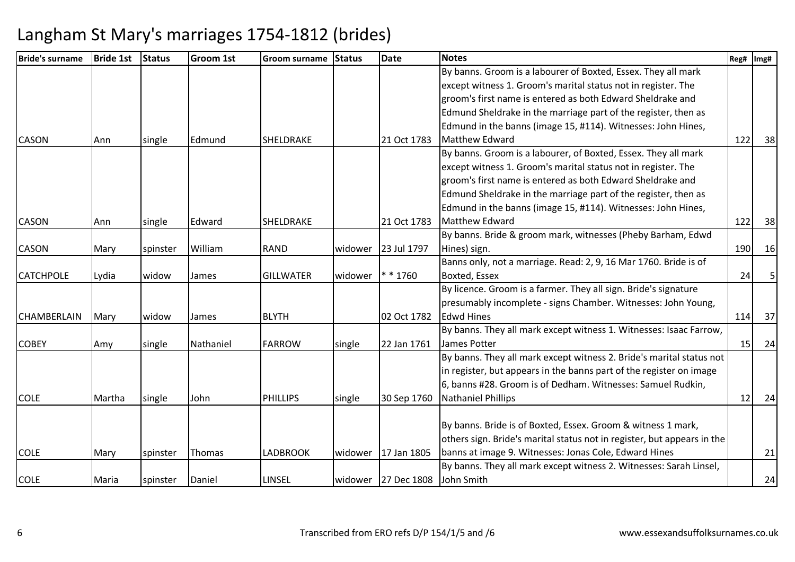| <b>Bride's surname</b> | <b>Bride 1st</b> | <b>Status</b> | <b>Groom 1st</b> | Groom surname    | <b>Status</b> | <b>Date</b>         | <b>Notes</b>                                                            | Reg#            | Img# |
|------------------------|------------------|---------------|------------------|------------------|---------------|---------------------|-------------------------------------------------------------------------|-----------------|------|
|                        |                  |               |                  |                  |               |                     | By banns. Groom is a labourer of Boxted, Essex. They all mark           |                 |      |
|                        |                  |               |                  |                  |               |                     | except witness 1. Groom's marital status not in register. The           |                 |      |
|                        |                  |               |                  |                  |               |                     | groom's first name is entered as both Edward Sheldrake and              |                 |      |
|                        |                  |               |                  |                  |               |                     | Edmund Sheldrake in the marriage part of the register, then as          |                 |      |
|                        |                  |               |                  |                  |               |                     | Edmund in the banns (image 15, #114). Witnesses: John Hines,            |                 |      |
| <b>CASON</b>           | Ann              | single        | Edmund           | SHELDRAKE        |               | 21 Oct 1783         | <b>Matthew Edward</b>                                                   | 122             | 38   |
|                        |                  |               |                  |                  |               |                     | By banns. Groom is a labourer, of Boxted, Essex. They all mark          |                 |      |
|                        |                  |               |                  |                  |               |                     | except witness 1. Groom's marital status not in register. The           |                 |      |
|                        |                  |               |                  |                  |               |                     | groom's first name is entered as both Edward Sheldrake and              |                 |      |
|                        |                  |               |                  |                  |               |                     | Edmund Sheldrake in the marriage part of the register, then as          |                 |      |
|                        |                  |               |                  |                  |               |                     | Edmund in the banns (image 15, #114). Witnesses: John Hines,            |                 |      |
| <b>CASON</b>           | Ann              | single        | Edward           | SHELDRAKE        |               | 21 Oct 1783         | <b>Matthew Edward</b>                                                   | 122             | 38   |
|                        |                  |               |                  |                  |               |                     | By banns. Bride & groom mark, witnesses (Pheby Barham, Edwd             |                 |      |
| <b>CASON</b>           | Mary             | spinster      | William          | <b>RAND</b>      | widower       | 23 Jul 1797         | Hines) sign.                                                            | 190             | 16   |
|                        |                  |               |                  |                  |               |                     | Banns only, not a marriage. Read: 2, 9, 16 Mar 1760. Bride is of        |                 |      |
| <b>CATCHPOLE</b>       | Lydia            | widow         | James            | <b>GILLWATER</b> | widower       | $* * 1760$          | Boxted, Essex                                                           | 24              |      |
|                        |                  |               |                  |                  |               |                     | By licence. Groom is a farmer. They all sign. Bride's signature         |                 |      |
|                        |                  |               |                  |                  |               |                     | presumably incomplete - signs Chamber. Witnesses: John Young,           |                 |      |
| <b>CHAMBERLAIN</b>     | Mary             | widow         | James            | <b>BLYTH</b>     |               | 02 Oct 1782         | <b>Edwd Hines</b>                                                       | 114             | 37   |
|                        |                  |               |                  |                  |               |                     | By banns. They all mark except witness 1. Witnesses: Isaac Farrow,      |                 |      |
| <b>COBEY</b>           | Amy              | single        | Nathaniel        | <b>FARROW</b>    | single        | 22 Jan 1761         | James Potter                                                            | 15 <sup>1</sup> | 24   |
|                        |                  |               |                  |                  |               |                     | By banns. They all mark except witness 2. Bride's marital status not    |                 |      |
|                        |                  |               |                  |                  |               |                     | in register, but appears in the banns part of the register on image     |                 |      |
|                        |                  |               |                  |                  |               |                     | 6, banns #28. Groom is of Dedham. Witnesses: Samuel Rudkin,             |                 |      |
| <b>COLE</b>            | Martha           | single        | John             | <b>PHILLIPS</b>  | single        | 30 Sep 1760         | <b>Nathaniel Phillips</b>                                               | 12              | 24   |
|                        |                  |               |                  |                  |               |                     |                                                                         |                 |      |
|                        |                  |               |                  |                  |               |                     | By banns. Bride is of Boxted, Essex. Groom & witness 1 mark,            |                 |      |
|                        |                  |               |                  |                  |               |                     | others sign. Bride's marital status not in register, but appears in the |                 |      |
| <b>COLE</b>            | Mary             | spinster      | Thomas           | <b>LADBROOK</b>  | widower       | 17 Jan 1805         | banns at image 9. Witnesses: Jonas Cole, Edward Hines                   |                 | 21   |
|                        |                  |               |                  |                  |               |                     | By banns. They all mark except witness 2. Witnesses: Sarah Linsel,      |                 |      |
| <b>COLE</b>            | Maria            | spinster      | Daniel           | LINSEL           |               | widower 27 Dec 1808 | John Smith                                                              |                 | 24   |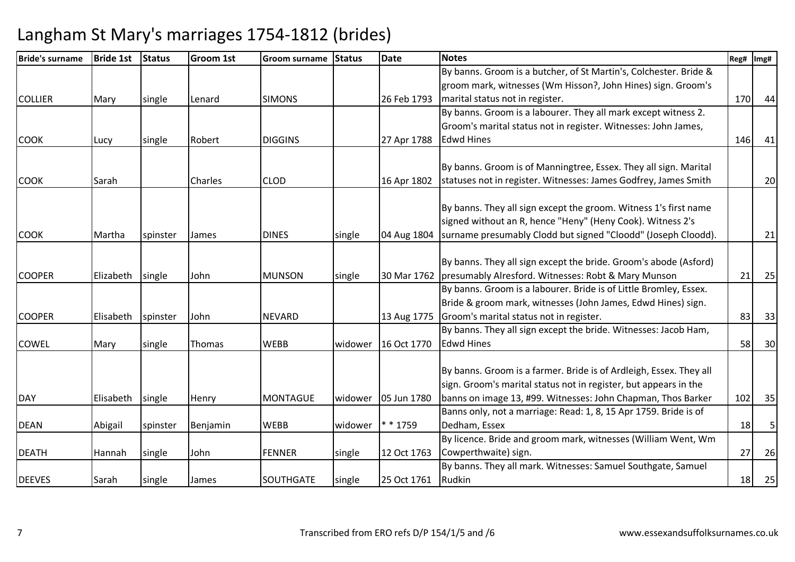| <b>Bride's surname</b> | <b>Bride 1st</b> | <b>Status</b> | <b>Groom 1st</b> | Groom surname   | <b>Status</b> | <b>Date</b>           | <b>Notes</b>                                                       | Reg# | Img# |
|------------------------|------------------|---------------|------------------|-----------------|---------------|-----------------------|--------------------------------------------------------------------|------|------|
|                        |                  |               |                  |                 |               |                       | By banns. Groom is a butcher, of St Martin's, Colchester. Bride &  |      |      |
|                        |                  |               |                  |                 |               |                       | groom mark, witnesses (Wm Hisson?, John Hines) sign. Groom's       |      |      |
| <b>COLLIER</b>         | Mary             | single        | Lenard           | <b>SIMONS</b>   |               | 26 Feb 1793           | marital status not in register.                                    | 170  | 44   |
|                        |                  |               |                  |                 |               |                       | By banns. Groom is a labourer. They all mark except witness 2.     |      |      |
|                        |                  |               |                  |                 |               |                       | Groom's marital status not in register. Witnesses: John James,     |      |      |
| <b>COOK</b>            | Lucy             | single        | Robert           | <b>DIGGINS</b>  |               | 27 Apr 1788           | <b>Edwd Hines</b>                                                  | 146  | 41   |
|                        |                  |               |                  |                 |               |                       |                                                                    |      |      |
|                        |                  |               |                  |                 |               |                       | By banns. Groom is of Manningtree, Essex. They all sign. Marital   |      |      |
| <b>COOK</b>            | Sarah            |               | Charles          | <b>CLOD</b>     |               | 16 Apr 1802           | statuses not in register. Witnesses: James Godfrey, James Smith    |      | 20   |
|                        |                  |               |                  |                 |               |                       | By banns. They all sign except the groom. Witness 1's first name   |      |      |
|                        |                  |               |                  |                 |               |                       | signed without an R, hence "Heny" (Heny Cook). Witness 2's         |      |      |
| <b>COOK</b>            | Martha           |               | James            | <b>DINES</b>    |               | 04 Aug 1804           | surname presumably Clodd but signed "Cloodd" (Joseph Cloodd).      |      | 21   |
|                        |                  | spinster      |                  |                 | single        |                       |                                                                    |      |      |
|                        |                  |               |                  |                 |               |                       | By banns. They all sign except the bride. Groom's abode (Asford)   |      |      |
| <b>COOPER</b>          | Elizabeth        | single        | John             | <b>MUNSON</b>   | single        |                       | 30 Mar 1762   presumably Alresford. Witnesses: Robt & Mary Munson  | 21   | 25   |
|                        |                  |               |                  |                 |               |                       | By banns. Groom is a labourer. Bride is of Little Bromley, Essex.  |      |      |
|                        |                  |               |                  |                 |               |                       | Bride & groom mark, witnesses (John James, Edwd Hines) sign.       |      |      |
| <b>COOPER</b>          | Elisabeth        | spinster      | John             | <b>NEVARD</b>   |               | 13 Aug 1775           | Groom's marital status not in register.                            | 83   | 33   |
|                        |                  |               |                  |                 |               |                       | By banns. They all sign except the bride. Witnesses: Jacob Ham,    |      |      |
| <b>COWEL</b>           | Mary             | single        | Thomas           | <b>WEBB</b>     | widower       | 16 Oct 1770           | <b>Edwd Hines</b>                                                  | 58   | 30   |
|                        |                  |               |                  |                 |               |                       |                                                                    |      |      |
|                        |                  |               |                  |                 |               |                       | By banns. Groom is a farmer. Bride is of Ardleigh, Essex. They all |      |      |
|                        |                  |               |                  |                 |               |                       | sign. Groom's marital status not in register, but appears in the   |      |      |
| <b>DAY</b>             | Elisabeth        | single        | Henry            | <b>MONTAGUE</b> |               | widower   05 Jun 1780 | banns on image 13, #99. Witnesses: John Chapman, Thos Barker       | 102  | 35   |
|                        |                  |               |                  |                 |               |                       | Banns only, not a marriage: Read: 1, 8, 15 Apr 1759. Bride is of   |      |      |
| <b>DEAN</b>            | Abigail          | spinster      | Benjamin         | <b>WEBB</b>     | widower       | * 1759                | Dedham, Essex                                                      | 18   | 5    |
|                        |                  |               |                  |                 |               |                       | By licence. Bride and groom mark, witnesses (William Went, Wm      |      |      |
| <b>DEATH</b>           | Hannah           | single        | John             | <b>FENNER</b>   | single        | 12 Oct 1763           | Cowperthwaite) sign.                                               | 27   | 26   |
|                        |                  |               |                  |                 |               |                       | By banns. They all mark. Witnesses: Samuel Southgate, Samuel       |      |      |
| <b>DEEVES</b>          | Sarah            | single        | James            | SOUTHGATE       | single        | 25 Oct 1761           | Rudkin                                                             | 18   | 25   |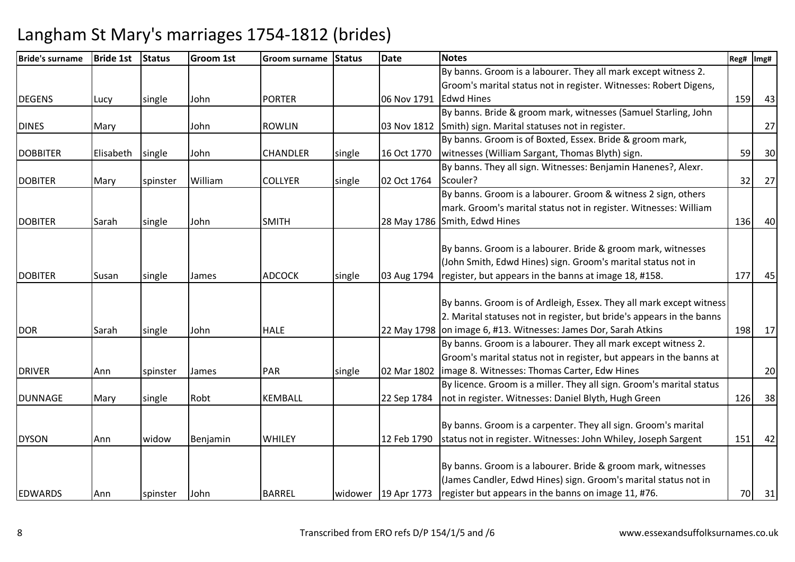| <b>Bride's surname</b> | <b>Bride 1st</b> | <b>Status</b> | <b>Groom 1st</b> | Groom surname   | <b>Status</b> | <b>Date</b>           | <b>Notes</b>                                                          | Reg# | Img# |
|------------------------|------------------|---------------|------------------|-----------------|---------------|-----------------------|-----------------------------------------------------------------------|------|------|
|                        |                  |               |                  |                 |               |                       | By banns. Groom is a labourer. They all mark except witness 2.        |      |      |
|                        |                  |               |                  |                 |               |                       | Groom's marital status not in register. Witnesses: Robert Digens,     |      |      |
| <b>DEGENS</b>          | Lucy             | single        | John             | <b>PORTER</b>   |               | 06 Nov 1791           | <b>Edwd Hines</b>                                                     | 159  | 43   |
|                        |                  |               |                  |                 |               |                       | By banns. Bride & groom mark, witnesses (Samuel Starling, John        |      |      |
| <b>DINES</b>           | Mary             |               | John             | <b>ROWLIN</b>   |               |                       | 03 Nov 1812 Smith) sign. Marital statuses not in register.            |      | 27   |
|                        |                  |               |                  |                 |               |                       | By banns. Groom is of Boxted, Essex. Bride & groom mark,              |      |      |
| <b>DOBBITER</b>        | Elisabeth        | single        | John             | <b>CHANDLER</b> | single        | 16 Oct 1770           | witnesses (William Sargant, Thomas Blyth) sign.                       | 59   | 30   |
|                        |                  |               |                  |                 |               |                       | By banns. They all sign. Witnesses: Benjamin Hanenes?, Alexr.         |      |      |
| <b>DOBITER</b>         | Mary             | spinster      | William          | <b>COLLYER</b>  | single        | 02 Oct 1764           | Scouler?                                                              | 32   | 27   |
|                        |                  |               |                  |                 |               |                       | By banns. Groom is a labourer. Groom & witness 2 sign, others         |      |      |
|                        |                  |               |                  |                 |               |                       | mark. Groom's marital status not in register. Witnesses: William      |      |      |
| <b>DOBITER</b>         | Sarah            | single        | John             | <b>SMITH</b>    |               |                       | 28 May 1786 Smith, Edwd Hines                                         | 136  | 40   |
|                        |                  |               |                  |                 |               |                       |                                                                       |      |      |
|                        |                  |               |                  |                 |               |                       | By banns. Groom is a labourer. Bride & groom mark, witnesses          |      |      |
|                        |                  |               |                  |                 |               |                       | (John Smith, Edwd Hines) sign. Groom's marital status not in          |      |      |
| <b>DOBITER</b>         | Susan            | single        | James            | <b>ADCOCK</b>   | single        | 03 Aug 1794           | register, but appears in the banns at image 18, #158.                 | 177  | 45   |
|                        |                  |               |                  |                 |               |                       |                                                                       |      |      |
|                        |                  |               |                  |                 |               |                       | By banns. Groom is of Ardleigh, Essex. They all mark except witness   |      |      |
|                        |                  |               |                  |                 |               |                       | 2. Marital statuses not in register, but bride's appears in the banns |      |      |
| <b>DOR</b>             | Sarah            | single        | John             | <b>HALE</b>     |               |                       | 22 May 1798 on image 6, #13. Witnesses: James Dor, Sarah Atkins       | 198  | 17   |
|                        |                  |               |                  |                 |               |                       | By banns. Groom is a labourer. They all mark except witness 2.        |      |      |
|                        |                  |               |                  |                 |               |                       | Groom's marital status not in register, but appears in the banns at   |      |      |
| <b>DRIVER</b>          | Ann              | spinster      | James            | PAR             | single        | 02 Mar 1802           | image 8. Witnesses: Thomas Carter, Edw Hines                          |      | 20   |
|                        |                  |               |                  |                 |               |                       | By licence. Groom is a miller. They all sign. Groom's marital status  |      |      |
| <b>DUNNAGE</b>         | Mary             | single        | Robt             | <b>KEMBALL</b>  |               | 22 Sep 1784           | not in register. Witnesses: Daniel Blyth, Hugh Green                  | 126  | 38   |
|                        |                  |               |                  |                 |               |                       |                                                                       |      |      |
|                        |                  |               |                  |                 |               |                       | By banns. Groom is a carpenter. They all sign. Groom's marital        |      |      |
| <b>DYSON</b>           | Ann              | widow         | Benjamin         | <b>WHILEY</b>   |               | 12 Feb 1790           | status not in register. Witnesses: John Whiley, Joseph Sargent        | 151  | 42   |
|                        |                  |               |                  |                 |               |                       |                                                                       |      |      |
|                        |                  |               |                  |                 |               |                       | By banns. Groom is a labourer. Bride & groom mark, witnesses          |      |      |
|                        |                  |               |                  |                 |               |                       | (James Candler, Edwd Hines) sign. Groom's marital status not in       |      |      |
| <b>EDWARDS</b>         | Ann              | spinster      | John             | <b>BARREL</b>   |               | widower   19 Apr 1773 | register but appears in the banns on image 11, #76.                   | 70   | 31   |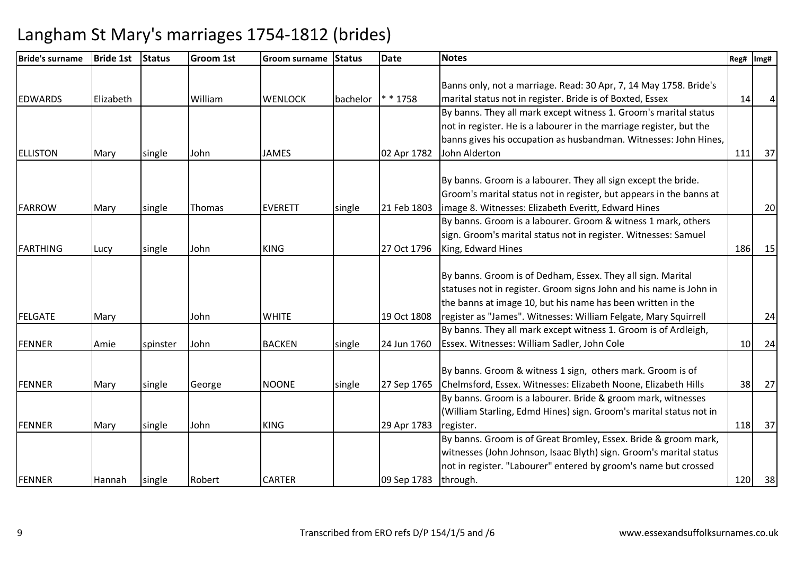| <b>Bride's surname</b> | <b>Bride 1st</b> | <b>Status</b> | <b>Groom 1st</b> | Groom surname  | <b>Status</b> | <b>Date</b> | <b>Notes</b>                                                        | Reg# | Img# |
|------------------------|------------------|---------------|------------------|----------------|---------------|-------------|---------------------------------------------------------------------|------|------|
|                        |                  |               |                  |                |               |             |                                                                     |      |      |
|                        |                  |               |                  |                |               |             | Banns only, not a marriage. Read: 30 Apr, 7, 14 May 1758. Bride's   |      |      |
| <b>EDWARDS</b>         | Elizabeth        |               | William          | <b>WENLOCK</b> | bachelor      | $* * 1758$  | marital status not in register. Bride is of Boxted, Essex           | 14   |      |
|                        |                  |               |                  |                |               |             | By banns. They all mark except witness 1. Groom's marital status    |      |      |
|                        |                  |               |                  |                |               |             | not in register. He is a labourer in the marriage register, but the |      |      |
|                        |                  |               |                  |                |               |             | banns gives his occupation as husbandman. Witnesses: John Hines,    |      |      |
| <b>ELLISTON</b>        | Mary             | single        | John             | <b>JAMES</b>   |               | 02 Apr 1782 | John Alderton                                                       | 111  | 37   |
|                        |                  |               |                  |                |               |             |                                                                     |      |      |
|                        |                  |               |                  |                |               |             | By banns. Groom is a labourer. They all sign except the bride.      |      |      |
|                        |                  |               |                  |                |               |             | Groom's marital status not in register, but appears in the banns at |      |      |
| <b>FARROW</b>          | Mary             | single        | Thomas           | <b>EVERETT</b> | single        | 21 Feb 1803 | image 8. Witnesses: Elizabeth Everitt, Edward Hines                 |      | 20   |
|                        |                  |               |                  |                |               |             | By banns. Groom is a labourer. Groom & witness 1 mark, others       |      |      |
|                        |                  |               |                  |                |               |             | sign. Groom's marital status not in register. Witnesses: Samuel     |      |      |
| <b>FARTHING</b>        | Lucy             | single        | John             | <b>KING</b>    |               | 27 Oct 1796 | King, Edward Hines                                                  | 186  | 15   |
|                        |                  |               |                  |                |               |             |                                                                     |      |      |
|                        |                  |               |                  |                |               |             | By banns. Groom is of Dedham, Essex. They all sign. Marital         |      |      |
|                        |                  |               |                  |                |               |             | statuses not in register. Groom signs John and his name is John in  |      |      |
|                        |                  |               |                  |                |               |             | the banns at image 10, but his name has been written in the         |      |      |
| <b>FELGATE</b>         | Mary             |               | John             | <b>WHITE</b>   |               | 19 Oct 1808 | register as "James". Witnesses: William Felgate, Mary Squirrell     |      | 24   |
|                        |                  |               |                  |                |               |             | By banns. They all mark except witness 1. Groom is of Ardleigh,     |      |      |
| <b>FENNER</b>          | Amie             | spinster      | John             | <b>BACKEN</b>  | single        | 24 Jun 1760 | Essex. Witnesses: William Sadler, John Cole                         | 10   | 24   |
|                        |                  |               |                  |                |               |             |                                                                     |      |      |
|                        |                  |               |                  |                |               |             | By banns. Groom & witness 1 sign, others mark. Groom is of          |      |      |
| <b>FENNER</b>          | Mary             | single        | George           | <b>NOONE</b>   | single        | 27 Sep 1765 | Chelmsford, Essex. Witnesses: Elizabeth Noone, Elizabeth Hills      | 38   | 27   |
|                        |                  |               |                  |                |               |             | By banns. Groom is a labourer. Bride & groom mark, witnesses        |      |      |
|                        |                  |               |                  |                |               |             | (William Starling, Edmd Hines) sign. Groom's marital status not in  |      |      |
| <b>FENNER</b>          | Mary             | single        | John             | <b>KING</b>    |               | 29 Apr 1783 | register.                                                           | 118  | 37   |
|                        |                  |               |                  |                |               |             | By banns. Groom is of Great Bromley, Essex. Bride & groom mark,     |      |      |
|                        |                  |               |                  |                |               |             | witnesses (John Johnson, Isaac Blyth) sign. Groom's marital status  |      |      |
|                        |                  |               |                  |                |               |             | not in register. "Labourer" entered by groom's name but crossed     |      |      |
| <b>FENNER</b>          | Hannah           | single        | Robert           | <b>CARTER</b>  |               | 09 Sep 1783 | through.                                                            | 120  | 38   |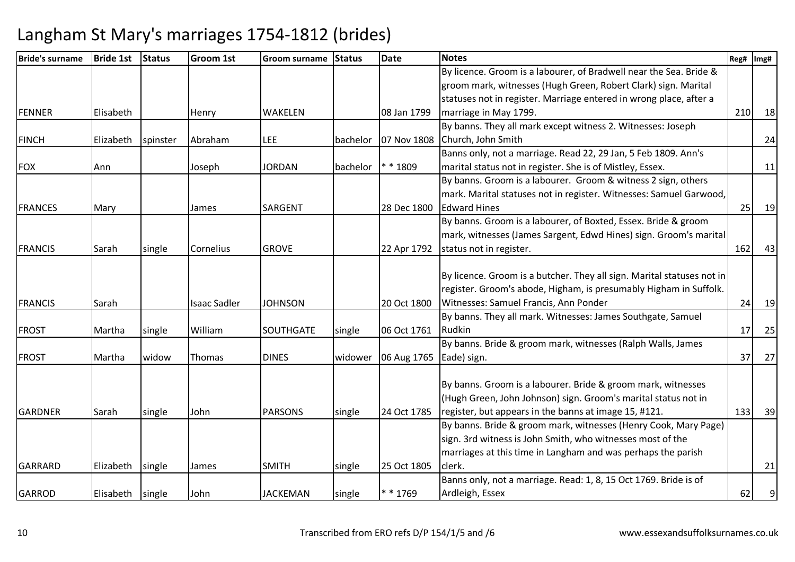| <b>Bride's surname</b> | <b>Bride 1st</b> | <b>Status</b> | Groom 1st           | Groom surname   | <b>Status</b> | <b>Date</b> | <b>Notes</b>                                                           | Reg# | Img# |
|------------------------|------------------|---------------|---------------------|-----------------|---------------|-------------|------------------------------------------------------------------------|------|------|
|                        |                  |               |                     |                 |               |             | By licence. Groom is a labourer, of Bradwell near the Sea. Bride &     |      |      |
|                        |                  |               |                     |                 |               |             | groom mark, witnesses (Hugh Green, Robert Clark) sign. Marital         |      |      |
|                        |                  |               |                     |                 |               |             | statuses not in register. Marriage entered in wrong place, after a     |      |      |
| <b>FENNER</b>          | Elisabeth        |               | Henry               | <b>WAKELEN</b>  |               | 08 Jan 1799 | marriage in May 1799.                                                  | 210  | 18   |
|                        |                  |               |                     |                 |               |             | By banns. They all mark except witness 2. Witnesses: Joseph            |      |      |
| <b>FINCH</b>           | Elizabeth        | spinster      | Abraham             | <b>LEE</b>      | bachelor      | 07 Nov 1808 | Church, John Smith                                                     |      | 24   |
|                        |                  |               |                     |                 |               |             | Banns only, not a marriage. Read 22, 29 Jan, 5 Feb 1809. Ann's         |      |      |
| <b>FOX</b>             | Ann              |               | Joseph              | <b>JORDAN</b>   | bachelor      | ** 1809     | marital status not in register. She is of Mistley, Essex.              |      | 11   |
|                        |                  |               |                     |                 |               |             | By banns. Groom is a labourer. Groom & witness 2 sign, others          |      |      |
|                        |                  |               |                     |                 |               |             | mark. Marital statuses not in register. Witnesses: Samuel Garwood,     |      |      |
| <b>FRANCES</b>         | Mary             |               | James               | <b>SARGENT</b>  |               | 28 Dec 1800 | <b>Edward Hines</b>                                                    | 25   | 19   |
|                        |                  |               |                     |                 |               |             | By banns. Groom is a labourer, of Boxted, Essex. Bride & groom         |      |      |
|                        |                  |               |                     |                 |               |             | mark, witnesses (James Sargent, Edwd Hines) sign. Groom's marital      |      |      |
| <b>FRANCIS</b>         | Sarah            | single        | Cornelius           | <b>GROVE</b>    |               | 22 Apr 1792 | status not in register.                                                | 162  | 43   |
|                        |                  |               |                     |                 |               |             |                                                                        |      |      |
|                        |                  |               |                     |                 |               |             | By licence. Groom is a butcher. They all sign. Marital statuses not in |      |      |
|                        |                  |               |                     |                 |               |             | register. Groom's abode, Higham, is presumably Higham in Suffolk.      |      |      |
| <b>FRANCIS</b>         | Sarah            |               | <b>Isaac Sadler</b> | <b>JOHNSON</b>  |               | 20 Oct 1800 | Witnesses: Samuel Francis, Ann Ponder                                  | 24   | 19   |
|                        |                  |               |                     |                 |               |             | By banns. They all mark. Witnesses: James Southgate, Samuel            |      |      |
| <b>FROST</b>           | Martha           | single        | William             | SOUTHGATE       | single        | 06 Oct 1761 | Rudkin                                                                 | 17   | 25   |
|                        |                  |               |                     |                 |               |             | By banns. Bride & groom mark, witnesses (Ralph Walls, James            |      |      |
| <b>FROST</b>           | Martha           | widow         | Thomas              | <b>DINES</b>    | widower       | 06 Aug 1765 | Eade) sign.                                                            | 37   | 27   |
|                        |                  |               |                     |                 |               |             |                                                                        |      |      |
|                        |                  |               |                     |                 |               |             | By banns. Groom is a labourer. Bride & groom mark, witnesses           |      |      |
|                        |                  |               |                     |                 |               |             | (Hugh Green, John Johnson) sign. Groom's marital status not in         |      |      |
| <b>GARDNER</b>         | Sarah            | single        | John                | <b>PARSONS</b>  | single        | 24 Oct 1785 | register, but appears in the banns at image 15, #121.                  | 133  | 39   |
|                        |                  |               |                     |                 |               |             | By banns. Bride & groom mark, witnesses (Henry Cook, Mary Page)        |      |      |
|                        |                  |               |                     |                 |               |             | sign. 3rd witness is John Smith, who witnesses most of the             |      |      |
|                        |                  |               |                     |                 |               |             | marriages at this time in Langham and was perhaps the parish           |      |      |
| GARRARD                | Elizabeth        | single        | James               | <b>SMITH</b>    | single        | 25 Oct 1805 | clerk.                                                                 |      | 21   |
|                        |                  |               |                     |                 |               |             | Banns only, not a marriage. Read: 1, 8, 15 Oct 1769. Bride is of       |      |      |
| <b>GARROD</b>          | Elisabeth single |               | John                | <b>JACKEMAN</b> | single        | ** 1769     | Ardleigh, Essex                                                        | 62   | 9    |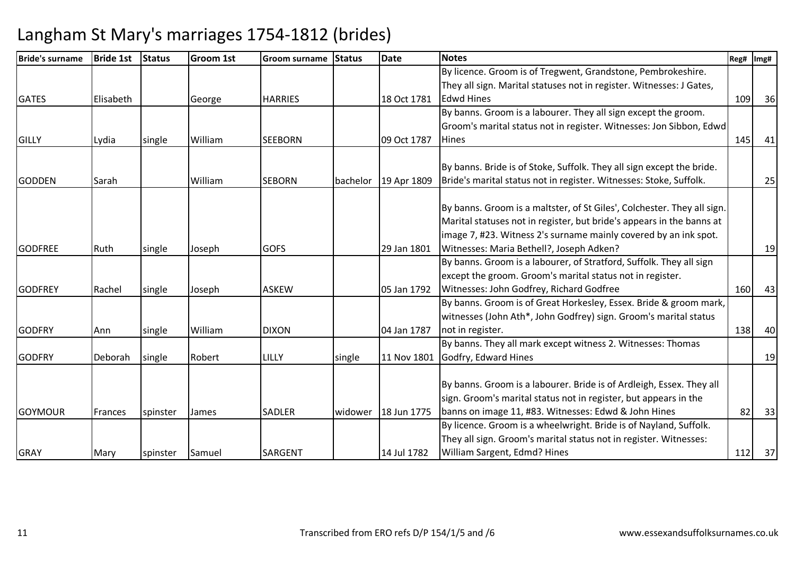| <b>Bride's surname</b> | <b>Bride 1st</b> | <b>Status</b> | Groom 1st    | Groom surname  | <b>Status</b> | <b>Date</b> | <b>Notes</b>                                                            | Reg# | Img# |
|------------------------|------------------|---------------|--------------|----------------|---------------|-------------|-------------------------------------------------------------------------|------|------|
|                        |                  |               |              |                |               |             | By licence. Groom is of Tregwent, Grandstone, Pembrokeshire.            |      |      |
|                        |                  |               |              |                |               |             | They all sign. Marital statuses not in register. Witnesses: J Gates,    |      |      |
| <b>GATES</b>           | Elisabeth        |               | George       | <b>HARRIES</b> |               | 18 Oct 1781 | <b>Edwd Hines</b>                                                       | 109  | 36   |
|                        |                  |               |              |                |               |             | By banns. Groom is a labourer. They all sign except the groom.          |      |      |
|                        |                  |               |              |                |               |             | Groom's marital status not in register. Witnesses: Jon Sibbon, Edwd     |      |      |
| <b>GILLY</b>           | Lydia            | single        | William      | <b>SEEBORN</b> |               | 09 Oct 1787 | Hines                                                                   | 145  | 41   |
|                        |                  |               |              |                |               |             |                                                                         |      |      |
|                        |                  |               |              |                |               |             | By banns. Bride is of Stoke, Suffolk. They all sign except the bride.   |      |      |
| <b>GODDEN</b>          | Sarah            |               | William      | <b>SEBORN</b>  | bachelor      | 19 Apr 1809 | Bride's marital status not in register. Witnesses: Stoke, Suffolk.      |      | 25   |
|                        |                  |               |              |                |               |             | By banns. Groom is a maltster, of St Giles', Colchester. They all sign. |      |      |
|                        |                  |               |              |                |               |             | Marital statuses not in register, but bride's appears in the banns at   |      |      |
|                        |                  |               |              |                |               |             | image 7, #23. Witness 2's surname mainly covered by an ink spot.        |      |      |
| <b>GODFREE</b>         |                  |               |              | <b>GOFS</b>    |               | 29 Jan 1801 | Witnesses: Maria Bethell?, Joseph Adken?                                |      | 19   |
|                        | Ruth             | single        | Joseph       |                |               |             | By banns. Groom is a labourer, of Stratford, Suffolk. They all sign     |      |      |
|                        |                  |               |              |                |               |             | except the groom. Groom's marital status not in register.               |      |      |
| <b>GODFREY</b>         |                  |               |              |                |               |             |                                                                         |      |      |
|                        | Rachel           | single        | Joseph       | <b>ASKEW</b>   |               | 05 Jan 1792 | Witnesses: John Godfrey, Richard Godfree                                | 160  | 43   |
|                        |                  |               |              |                |               |             | By banns. Groom is of Great Horkesley, Essex. Bride & groom mark,       |      |      |
|                        |                  |               |              |                |               |             | witnesses (John Ath*, John Godfrey) sign. Groom's marital status        |      |      |
| <b>GODFRY</b>          | Ann              | single        | William      | <b>DIXON</b>   |               | 04 Jan 1787 | not in register.                                                        | 138  | 40   |
|                        |                  |               |              |                |               |             | By banns. They all mark except witness 2. Witnesses: Thomas             |      |      |
| <b>GODFRY</b>          | Deborah          | single        | Robert       | LILLY          | single        | 11 Nov 1801 | Godfry, Edward Hines                                                    |      | 19   |
|                        |                  |               |              |                |               |             | By banns. Groom is a labourer. Bride is of Ardleigh, Essex. They all    |      |      |
|                        |                  |               |              |                |               |             |                                                                         |      |      |
|                        |                  |               |              |                |               |             | sign. Groom's marital status not in register, but appears in the        |      |      |
| <b>GOYMOUR</b>         | Frances          | spinster      | <b>James</b> | <b>SADLER</b>  | widower       | 18 Jun 1775 | banns on image 11, #83. Witnesses: Edwd & John Hines                    | 82   | 33   |
|                        |                  |               |              |                |               |             | By licence. Groom is a wheelwright. Bride is of Nayland, Suffolk.       |      |      |
|                        |                  |               |              |                |               |             | They all sign. Groom's marital status not in register. Witnesses:       |      |      |
| <b>GRAY</b>            | Mary             | spinster      | Samuel       | SARGENT        |               | 14 Jul 1782 | William Sargent, Edmd? Hines                                            | 112  | 37   |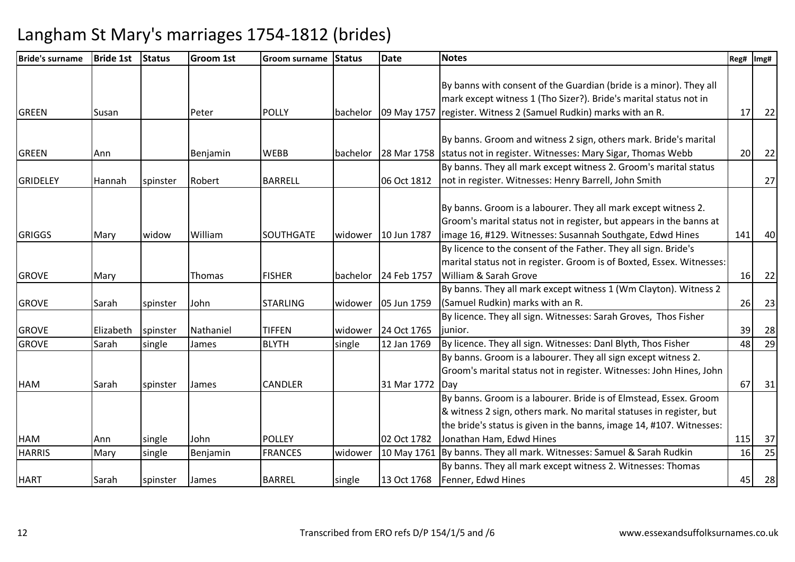| <b>Bride's surname</b> | <b>Bride 1st</b> | Status   | <b>Groom 1st</b> | Groom surname    | <b>Status</b> | <b>Date</b> | <b>Notes</b>                                                           | Reg# | Img# |
|------------------------|------------------|----------|------------------|------------------|---------------|-------------|------------------------------------------------------------------------|------|------|
|                        |                  |          |                  |                  |               |             |                                                                        |      |      |
|                        |                  |          |                  |                  |               |             | By banns with consent of the Guardian (bride is a minor). They all     |      |      |
|                        |                  |          |                  |                  |               |             | mark except witness 1 (Tho Sizer?). Bride's marital status not in      |      |      |
| <b>GREEN</b>           | Susan            |          | Peter            | <b>POLLY</b>     | bachelor      | 09 May 1757 | register. Witness 2 (Samuel Rudkin) marks with an R.                   | 17   | 22   |
|                        |                  |          |                  |                  |               |             |                                                                        |      |      |
|                        |                  |          |                  |                  |               |             | By banns. Groom and witness 2 sign, others mark. Bride's marital       |      |      |
| <b>GREEN</b>           | Ann              |          | Benjamin         | <b>WEBB</b>      | bachelor      |             | 28 Mar 1758 status not in register. Witnesses: Mary Sigar, Thomas Webb | 20   | 22   |
|                        |                  |          |                  |                  |               |             | By banns. They all mark except witness 2. Groom's marital status       |      |      |
| <b>GRIDELEY</b>        | Hannah           | spinster | Robert           | <b>BARRELL</b>   |               | 06 Oct 1812 | not in register. Witnesses: Henry Barrell, John Smith                  |      | 27   |
|                        |                  |          |                  |                  |               |             |                                                                        |      |      |
|                        |                  |          |                  |                  |               |             | By banns. Groom is a labourer. They all mark except witness 2.         |      |      |
|                        |                  |          |                  |                  |               |             | Groom's marital status not in register, but appears in the banns at    |      |      |
| <b>GRIGGS</b>          | Mary             | widow    | William          | <b>SOUTHGATE</b> | widower       | 10 Jun 1787 | image 16, #129. Witnesses: Susannah Southgate, Edwd Hines              | 141  | 40   |
|                        |                  |          |                  |                  |               |             | By licence to the consent of the Father. They all sign. Bride's        |      |      |
|                        |                  |          |                  |                  |               |             | marital status not in register. Groom is of Boxted, Essex. Witnesses:  |      |      |
| <b>GROVE</b>           | Mary             |          | Thomas           | <b>FISHER</b>    | bachelor      | 24 Feb 1757 | William & Sarah Grove                                                  | 16   | 22   |
|                        |                  |          |                  |                  |               |             | By banns. They all mark except witness 1 (Wm Clayton). Witness 2       |      |      |
| <b>GROVE</b>           | Sarah            | spinster | John             | <b>STARLING</b>  | widower       | 05 Jun 1759 | (Samuel Rudkin) marks with an R.                                       | 26   | 23   |
|                        |                  |          |                  |                  |               |             | By licence. They all sign. Witnesses: Sarah Groves, Thos Fisher        |      |      |
| <b>GROVE</b>           | Elizabeth        | spinster | Nathaniel        | <b>TIFFEN</b>    | widower       | 24 Oct 1765 | junior.                                                                | 39   | 28   |
| <b>GROVE</b>           | Sarah            | single   | James            | <b>BLYTH</b>     | single        | 12 Jan 1769 | By licence. They all sign. Witnesses: Danl Blyth, Thos Fisher          | 48   | 29   |
|                        |                  |          |                  |                  |               |             | By banns. Groom is a labourer. They all sign except witness 2.         |      |      |
|                        |                  |          |                  |                  |               |             | Groom's marital status not in register. Witnesses: John Hines, John    |      |      |
| <b>HAM</b>             | Sarah            | spinster | James            | CANDLER          |               | 31 Mar 1772 | <b>IDav</b>                                                            | 67   | 31   |
|                        |                  |          |                  |                  |               |             | By banns. Groom is a labourer. Bride is of Elmstead, Essex. Groom      |      |      |
|                        |                  |          |                  |                  |               |             | & witness 2 sign, others mark. No marital statuses in register, but    |      |      |
|                        |                  |          |                  |                  |               |             | the bride's status is given in the banns, image 14, #107. Witnesses:   |      |      |
| <b>HAM</b>             | Ann              | single   | John             | <b>POLLEY</b>    |               | 02 Oct 1782 | Jonathan Ham, Edwd Hines                                               | 115  | 37   |
| <b>HARRIS</b>          | Mary             | single   | Benjamin         | <b>FRANCES</b>   | widower       | 10 May 1761 | By banns. They all mark. Witnesses: Samuel & Sarah Rudkin              | 16   | 25   |
|                        |                  |          |                  |                  |               |             | By banns. They all mark except witness 2. Witnesses: Thomas            |      |      |
| <b>HART</b>            | Sarah            | spinster | James            | <b>BARREL</b>    | single        | 13 Oct 1768 | Fenner, Edwd Hines                                                     | 45   | 28   |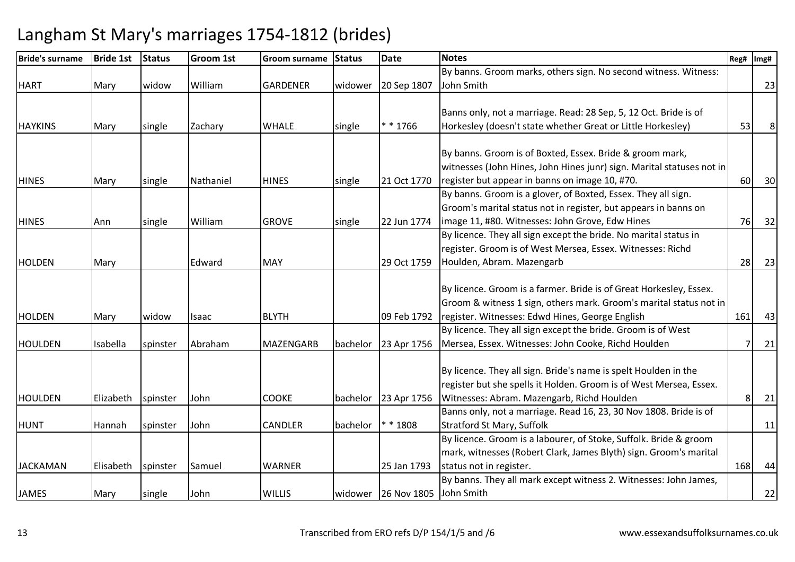| <b>Bride's surname</b> | <b>Bride 1st</b> | <b>Status</b> | <b>Groom 1st</b> | Groom surname    | <b>Status</b> | <b>Date</b>                    | <b>Notes</b>                                                          | Reg# | Img# |
|------------------------|------------------|---------------|------------------|------------------|---------------|--------------------------------|-----------------------------------------------------------------------|------|------|
|                        |                  |               |                  |                  |               |                                | By banns. Groom marks, others sign. No second witness. Witness:       |      |      |
| <b>HART</b>            | Mary             | widow         | William          | <b>GARDENER</b>  | widower       | 20 Sep 1807                    | John Smith                                                            |      | 23   |
|                        |                  |               |                  |                  |               |                                |                                                                       |      |      |
|                        |                  |               |                  |                  |               |                                | Banns only, not a marriage. Read: 28 Sep, 5, 12 Oct. Bride is of      |      |      |
| <b>HAYKINS</b>         | Mary             | single        | Zachary          | <b>WHALE</b>     | single        | $* * 1766$                     | Horkesley (doesn't state whether Great or Little Horkesley)           | 53   | 8    |
|                        |                  |               |                  |                  |               |                                |                                                                       |      |      |
|                        |                  |               |                  |                  |               |                                | By banns. Groom is of Boxted, Essex. Bride & groom mark,              |      |      |
|                        |                  |               |                  |                  |               |                                | witnesses (John Hines, John Hines junr) sign. Marital statuses not in |      |      |
| <b>HINES</b>           | Mary             | single        | Nathaniel        | <b>HINES</b>     | single        | 21 Oct 1770                    | register but appear in banns on image 10, #70.                        | 60   | 30   |
|                        |                  |               |                  |                  |               |                                | By banns. Groom is a glover, of Boxted, Essex. They all sign.         |      |      |
|                        |                  |               |                  |                  |               |                                | Groom's marital status not in register, but appears in banns on       |      |      |
| <b>HINES</b>           | Ann              | single        | William          | <b>GROVE</b>     | single        | 22 Jun 1774                    | image 11, #80. Witnesses: John Grove, Edw Hines                       | 76   | 32   |
|                        |                  |               |                  |                  |               |                                | By licence. They all sign except the bride. No marital status in      |      |      |
|                        |                  |               |                  |                  |               |                                | register. Groom is of West Mersea, Essex. Witnesses: Richd            |      |      |
| <b>HOLDEN</b>          | Mary             |               | Edward           | <b>MAY</b>       |               | 29 Oct 1759                    | Houlden, Abram. Mazengarb                                             | 28   | 23   |
|                        |                  |               |                  |                  |               |                                |                                                                       |      |      |
|                        |                  |               |                  |                  |               |                                | By licence. Groom is a farmer. Bride is of Great Horkesley, Essex.    |      |      |
|                        |                  |               |                  |                  |               |                                | Groom & witness 1 sign, others mark. Groom's marital status not in    |      |      |
| <b>HOLDEN</b>          | Mary             | widow         | Isaac            | <b>BLYTH</b>     |               | 09 Feb 1792                    | register. Witnesses: Edwd Hines, George English                       | 161  | 43   |
|                        |                  |               |                  |                  |               |                                | By licence. They all sign except the bride. Groom is of West          |      |      |
| <b>HOULDEN</b>         | Isabella         | spinster      | Abraham          | <b>MAZENGARB</b> | bachelor      | 23 Apr 1756                    | Mersea, Essex. Witnesses: John Cooke, Richd Houlden                   |      | 21   |
|                        |                  |               |                  |                  |               |                                |                                                                       |      |      |
|                        |                  |               |                  |                  |               |                                | By licence. They all sign. Bride's name is spelt Houlden in the       |      |      |
|                        |                  |               |                  |                  |               |                                | register but she spells it Holden. Groom is of West Mersea, Essex.    |      |      |
| <b>HOULDEN</b>         | Elizabeth        | spinster      | John             | <b>COOKE</b>     | bachelor      | 23 Apr 1756                    | Witnesses: Abram. Mazengarb, Richd Houlden                            | 8    | 21   |
|                        |                  |               |                  |                  |               |                                | Banns only, not a marriage. Read 16, 23, 30 Nov 1808. Bride is of     |      |      |
| <b>HUNT</b>            | Hannah           | spinster      | John             | CANDLER          | bachelor      | * 1808                         | <b>Stratford St Mary, Suffolk</b>                                     |      | 11   |
|                        |                  |               |                  |                  |               |                                | By licence. Groom is a labourer, of Stoke, Suffolk. Bride & groom     |      |      |
|                        |                  |               |                  |                  |               |                                | mark, witnesses (Robert Clark, James Blyth) sign. Groom's marital     |      |      |
| <b>JACKAMAN</b>        | Elisabeth        | spinster      | Samuel           | <b>WARNER</b>    |               | 25 Jan 1793                    | status not in register.                                               | 168  | 44   |
|                        |                  |               |                  |                  |               |                                | By banns. They all mark except witness 2. Witnesses: John James,      |      |      |
| <b>JAMES</b>           | Mary             | single        | John             | <b>WILLIS</b>    |               | widower 26 Nov 1805 John Smith |                                                                       |      | 22   |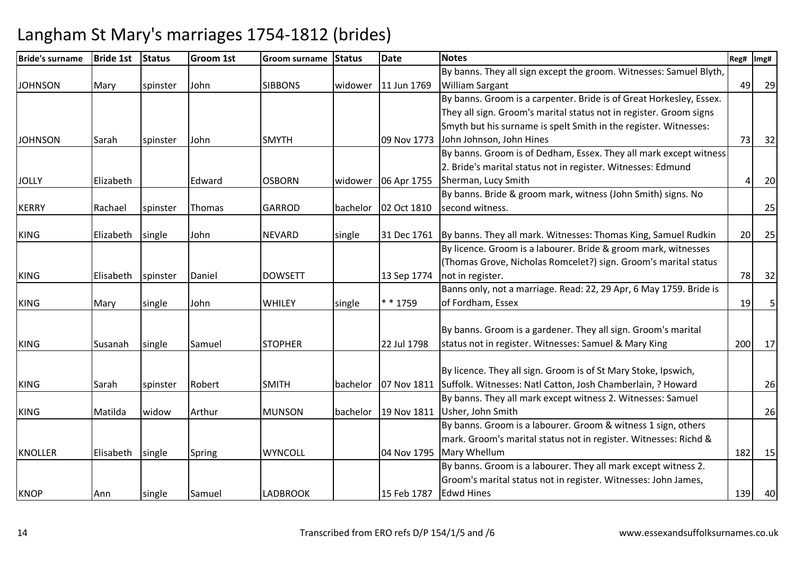| <b>Bride's surname</b> | <b>Bride 1st</b> | <b>Status</b> | Groom 1st | Groom surname   | <b>Status</b> | <b>Date</b> | <b>Notes</b>                                                            | Reg# | Img# |
|------------------------|------------------|---------------|-----------|-----------------|---------------|-------------|-------------------------------------------------------------------------|------|------|
|                        |                  |               |           |                 |               |             | By banns. They all sign except the groom. Witnesses: Samuel Blyth,      |      |      |
| <b>JOHNSON</b>         | Mary             | spinster      | John      | <b>SIBBONS</b>  | widower       | 11 Jun 1769 | <b>William Sargant</b>                                                  | 49   | 29   |
|                        |                  |               |           |                 |               |             | By banns. Groom is a carpenter. Bride is of Great Horkesley, Essex.     |      |      |
|                        |                  |               |           |                 |               |             | They all sign. Groom's marital status not in register. Groom signs      |      |      |
|                        |                  |               |           |                 |               |             | Smyth but his surname is spelt Smith in the register. Witnesses:        |      |      |
| <b>JOHNSON</b>         | Sarah            | spinster      | John      | <b>SMYTH</b>    |               | 09 Nov 1773 | John Johnson, John Hines                                                | 73   | 32   |
|                        |                  |               |           |                 |               |             | By banns. Groom is of Dedham, Essex. They all mark except witness       |      |      |
|                        |                  |               |           |                 |               |             | 2. Bride's marital status not in register. Witnesses: Edmund            |      |      |
| <b>JOLLY</b>           | Elizabeth        |               | Edward    | <b>OSBORN</b>   | widower       | 06 Apr 1755 | Sherman, Lucy Smith                                                     |      | 20   |
|                        |                  |               |           |                 |               |             | By banns. Bride & groom mark, witness (John Smith) signs. No            |      |      |
| <b>KERRY</b>           | Rachael          | spinster      | Thomas    | <b>GARROD</b>   | bachelor      | 02 Oct 1810 | second witness.                                                         |      | 25   |
|                        |                  |               |           |                 |               |             |                                                                         |      |      |
| <b>KING</b>            | Elizabeth        | single        | John      | <b>NEVARD</b>   | single        | 31 Dec 1761 | By banns. They all mark. Witnesses: Thomas King, Samuel Rudkin          | 20   | 25   |
|                        |                  |               |           |                 |               |             | By licence. Groom is a labourer. Bride & groom mark, witnesses          |      |      |
|                        |                  |               |           |                 |               |             | (Thomas Grove, Nicholas Romcelet?) sign. Groom's marital status         |      |      |
| <b>KING</b>            | Elisabeth        | spinster      | Daniel    | <b>DOWSETT</b>  |               | 13 Sep 1774 | not in register.                                                        | 78   | 32   |
|                        |                  |               |           |                 |               |             | Banns only, not a marriage. Read: 22, 29 Apr, 6 May 1759. Bride is      |      |      |
| <b>KING</b>            | Mary             | single        | John      | WHILEY          | single        | * * 1759    | of Fordham, Essex                                                       | 19   | 5    |
|                        |                  |               |           |                 |               |             |                                                                         |      |      |
|                        |                  |               |           |                 |               |             | By banns. Groom is a gardener. They all sign. Groom's marital           |      |      |
| <b>KING</b>            | Susanah          | single        | Samuel    | <b>STOPHER</b>  |               | 22 Jul 1798 | status not in register. Witnesses: Samuel & Mary King                   | 200  | 17   |
|                        |                  |               |           |                 |               |             |                                                                         |      |      |
|                        |                  |               |           |                 |               |             | By licence. They all sign. Groom is of St Mary Stoke, Ipswich,          |      |      |
| <b>KING</b>            | Sarah            | spinster      | Robert    | <b>SMITH</b>    | bachelor      |             | 07 Nov 1811 Suffolk. Witnesses: Natl Catton, Josh Chamberlain, ? Howard |      | 26   |
|                        |                  |               |           |                 |               |             | By banns. They all mark except witness 2. Witnesses: Samuel             |      |      |
| <b>KING</b>            | Matilda          | widow         | Arthur    | <b>MUNSON</b>   | bachelor      | 19 Nov 1811 | Usher, John Smith                                                       |      | 26   |
|                        |                  |               |           |                 |               |             | By banns. Groom is a labourer. Groom & witness 1 sign, others           |      |      |
|                        |                  |               |           |                 |               |             | mark. Groom's marital status not in register. Witnesses: Richd &        |      |      |
| <b>KNOLLER</b>         | Elisabeth        | single        | Spring    | <b>WYNCOLL</b>  |               | 04 Nov 1795 | Mary Whellum                                                            | 182  | 15   |
|                        |                  |               |           |                 |               |             | By banns. Groom is a labourer. They all mark except witness 2.          |      |      |
|                        |                  |               |           |                 |               |             | Groom's marital status not in register. Witnesses: John James,          |      |      |
| <b>KNOP</b>            | Ann              | single        | Samuel    | <b>LADBROOK</b> |               | 15 Feb 1787 | <b>Edwd Hines</b>                                                       | 139  | 40   |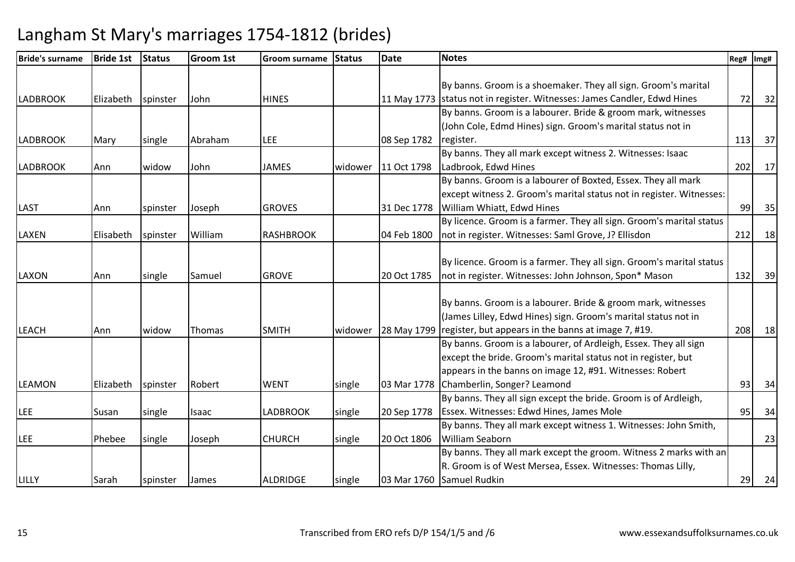| <b>Bride's surname</b> | <b>Bride 1st</b> | <b>Status</b> | <b>Groom 1st</b> | <b>Groom surname</b> | <b>Status</b> | <b>Date</b> | <b>Notes</b>                                                             | Reg# | Img# |
|------------------------|------------------|---------------|------------------|----------------------|---------------|-------------|--------------------------------------------------------------------------|------|------|
|                        |                  |               |                  |                      |               |             |                                                                          |      |      |
|                        |                  |               |                  |                      |               |             | By banns. Groom is a shoemaker. They all sign. Groom's marital           |      |      |
| <b>LADBROOK</b>        | Elizabeth        | spinster      | John             | <b>HINES</b>         |               |             | 11 May 1773 status not in register. Witnesses: James Candler, Edwd Hines | 72   | 32   |
|                        |                  |               |                  |                      |               |             | By banns. Groom is a labourer. Bride & groom mark, witnesses             |      |      |
|                        |                  |               |                  |                      |               |             | (John Cole, Edmd Hines) sign. Groom's marital status not in              |      |      |
| <b>LADBROOK</b>        | Mary             | single        | Abraham          | LEE                  |               | 08 Sep 1782 | register.                                                                | 113  | 37   |
|                        |                  |               |                  |                      |               |             | By banns. They all mark except witness 2. Witnesses: Isaac               |      |      |
| <b>LADBROOK</b>        | Ann              | widow         | John             | <b>JAMES</b>         | widower       | 11 Oct 1798 | Ladbrook, Edwd Hines                                                     | 202  | 17   |
|                        |                  |               |                  |                      |               |             | By banns. Groom is a labourer of Boxted, Essex. They all mark            |      |      |
|                        |                  |               |                  |                      |               |             | except witness 2. Groom's marital status not in register. Witnesses:     |      |      |
| <b>LAST</b>            | Ann              | spinster      | Joseph           | <b>GROVES</b>        |               | 31 Dec 1778 | William Whiatt, Edwd Hines                                               | 99   | 35   |
|                        |                  |               |                  |                      |               |             | By licence. Groom is a farmer. They all sign. Groom's marital status     |      |      |
| <b>LAXEN</b>           | Elisabeth        | spinster      | William          | <b>RASHBROOK</b>     |               | 04 Feb 1800 | not in register. Witnesses: Saml Grove, J? Ellisdon                      | 212  | 18   |
|                        |                  |               |                  |                      |               |             |                                                                          |      |      |
|                        |                  |               |                  |                      |               |             | By licence. Groom is a farmer. They all sign. Groom's marital status     |      |      |
| <b>LAXON</b>           | Ann              | single        | Samuel           | <b>GROVE</b>         |               | 20 Oct 1785 | not in register. Witnesses: John Johnson, Spon* Mason                    | 132  | 39   |
|                        |                  |               |                  |                      |               |             |                                                                          |      |      |
|                        |                  |               |                  |                      |               |             | By banns. Groom is a labourer. Bride & groom mark, witnesses             |      |      |
|                        |                  |               |                  |                      |               |             | (James Lilley, Edwd Hines) sign. Groom's marital status not in           |      |      |
| <b>LEACH</b>           | Ann              | widow         | Thomas           | <b>SMITH</b>         | widower       |             | 28 May 1799 register, but appears in the banns at image 7, #19.          | 208  | 18   |
|                        |                  |               |                  |                      |               |             | By banns. Groom is a labourer, of Ardleigh, Essex. They all sign         |      |      |
|                        |                  |               |                  |                      |               |             | except the bride. Groom's marital status not in register, but            |      |      |
|                        |                  |               |                  |                      |               |             | appears in the banns on image 12, #91. Witnesses: Robert                 |      |      |
| <b>LEAMON</b>          | Elizabeth        | spinster      | Robert           | <b>WENT</b>          | single        | 03 Mar 1778 | Chamberlin, Songer? Leamond                                              | 93   | 34   |
|                        |                  |               |                  |                      |               |             | By banns. They all sign except the bride. Groom is of Ardleigh,          |      |      |
| <b>LEE</b>             | Susan            | single        | Isaac            | <b>LADBROOK</b>      | single        | 20 Sep 1778 | Essex. Witnesses: Edwd Hines, James Mole                                 | 95   | 34   |
|                        |                  |               |                  |                      |               |             | By banns. They all mark except witness 1. Witnesses: John Smith,         |      |      |
| <b>LEE</b>             | Phebee           | single        | Joseph           | <b>CHURCH</b>        | single        | 20 Oct 1806 | <b>William Seaborn</b>                                                   |      | 23   |
|                        |                  |               |                  |                      |               |             | By banns. They all mark except the groom. Witness 2 marks with an        |      |      |
|                        |                  |               |                  |                      |               |             | R. Groom is of West Mersea, Essex. Witnesses: Thomas Lilly,              |      |      |
| LILLY                  | Sarah            | spinster      | James            | <b>ALDRIDGE</b>      | single        |             | 03 Mar 1760 Samuel Rudkin                                                | 29   | 24   |
|                        |                  |               |                  |                      |               |             |                                                                          |      |      |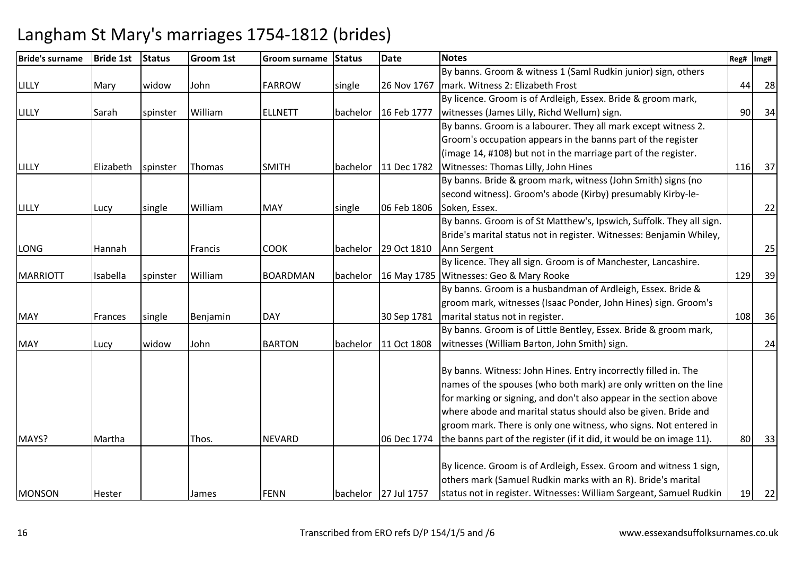| <b>Bride's surname</b> | <b>Bride 1st</b> | Status   | Groom 1st | <b>Groom surname</b> | <b>Status</b> | <b>Date</b>          | <b>Notes</b>                                                                                                                       | Reg# | Img# |
|------------------------|------------------|----------|-----------|----------------------|---------------|----------------------|------------------------------------------------------------------------------------------------------------------------------------|------|------|
|                        |                  |          |           |                      |               |                      | By banns. Groom & witness 1 (Saml Rudkin junior) sign, others                                                                      |      |      |
| LILLY                  | Mary             | widow    | John      | <b>FARROW</b>        | single        | 26 Nov 1767          | mark. Witness 2: Elizabeth Frost                                                                                                   | 44   | 28   |
|                        |                  |          |           |                      |               |                      | By licence. Groom is of Ardleigh, Essex. Bride & groom mark,                                                                       |      |      |
| LILLY                  | Sarah            | spinster | William   | <b>ELLNETT</b>       | bachelor      | 16 Feb 1777          | witnesses (James Lilly, Richd Wellum) sign.                                                                                        | 90   | 34   |
|                        |                  |          |           |                      |               |                      | By banns. Groom is a labourer. They all mark except witness 2.                                                                     |      |      |
|                        |                  |          |           |                      |               |                      | Groom's occupation appears in the banns part of the register                                                                       |      |      |
|                        |                  |          |           |                      |               |                      | (image 14, #108) but not in the marriage part of the register.                                                                     |      |      |
| LILLY                  | Elizabeth        | spinster | Thomas    | <b>SMITH</b>         | bachelor      | 11 Dec 1782          | Witnesses: Thomas Lilly, John Hines                                                                                                | 116  | 37   |
|                        |                  |          |           |                      |               |                      | By banns. Bride & groom mark, witness (John Smith) signs (no                                                                       |      |      |
|                        |                  |          |           |                      |               |                      | second witness). Groom's abode (Kirby) presumably Kirby-le-                                                                        |      |      |
| LILLY                  | Lucy             | single   | William   | <b>MAY</b>           | single        | 06 Feb 1806          | Soken, Essex.                                                                                                                      |      | 22   |
|                        |                  |          |           |                      |               |                      | By banns. Groom is of St Matthew's, Ipswich, Suffolk. They all sign.                                                               |      |      |
|                        |                  |          |           |                      |               |                      | Bride's marital status not in register. Witnesses: Benjamin Whiley,                                                                |      |      |
| <b>LONG</b>            | Hannah           |          | Francis   | <b>COOK</b>          | bachelor      | 29 Oct 1810          | Ann Sergent                                                                                                                        |      | 25   |
|                        |                  |          |           |                      |               |                      | By licence. They all sign. Groom is of Manchester, Lancashire.                                                                     |      |      |
| <b>MARRIOTT</b>        | Isabella         | spinster | William   | <b>BOARDMAN</b>      | bachelor      |                      | 16 May 1785 Witnesses: Geo & Mary Rooke                                                                                            | 129  | 39   |
|                        |                  |          |           |                      |               |                      | By banns. Groom is a husbandman of Ardleigh, Essex. Bride &                                                                        |      |      |
|                        |                  |          |           |                      |               |                      | groom mark, witnesses (Isaac Ponder, John Hines) sign. Groom's                                                                     |      |      |
| <b>MAY</b>             | Frances          | single   | Benjamin  | <b>DAY</b>           |               | 30 Sep 1781          | marital status not in register.                                                                                                    | 108  | 36   |
|                        |                  |          |           |                      |               |                      | By banns. Groom is of Little Bentley, Essex. Bride & groom mark,                                                                   |      |      |
| <b>MAY</b>             | Lucy             | widow    | John      | <b>BARTON</b>        | bachelor      | 11 Oct 1808          | witnesses (William Barton, John Smith) sign.                                                                                       |      | 24   |
|                        |                  |          |           |                      |               |                      |                                                                                                                                    |      |      |
|                        |                  |          |           |                      |               |                      | By banns. Witness: John Hines. Entry incorrectly filled in. The                                                                    |      |      |
|                        |                  |          |           |                      |               |                      | names of the spouses (who both mark) are only written on the line                                                                  |      |      |
|                        |                  |          |           |                      |               |                      | for marking or signing, and don't also appear in the section above                                                                 |      |      |
|                        |                  |          |           |                      |               |                      | where abode and marital status should also be given. Bride and                                                                     |      |      |
|                        |                  |          |           |                      |               |                      | groom mark. There is only one witness, who signs. Not entered in                                                                   |      |      |
| MAYS?                  | Martha           |          | Thos.     | <b>NEVARD</b>        |               | 06 Dec 1774          | the banns part of the register (if it did, it would be on image 11).                                                               | 80   | 33   |
|                        |                  |          |           |                      |               |                      |                                                                                                                                    |      |      |
|                        |                  |          |           |                      |               |                      | By licence. Groom is of Ardleigh, Essex. Groom and witness 1 sign,<br>others mark (Samuel Rudkin marks with an R). Bride's marital |      |      |
|                        |                  |          |           |                      |               |                      |                                                                                                                                    |      |      |
| <b>MONSON</b>          | Hester           |          | James     | <b>FENN</b>          |               | bachelor 27 Jul 1757 | status not in register. Witnesses: William Sargeant, Samuel Rudkin                                                                 | 19   | 22   |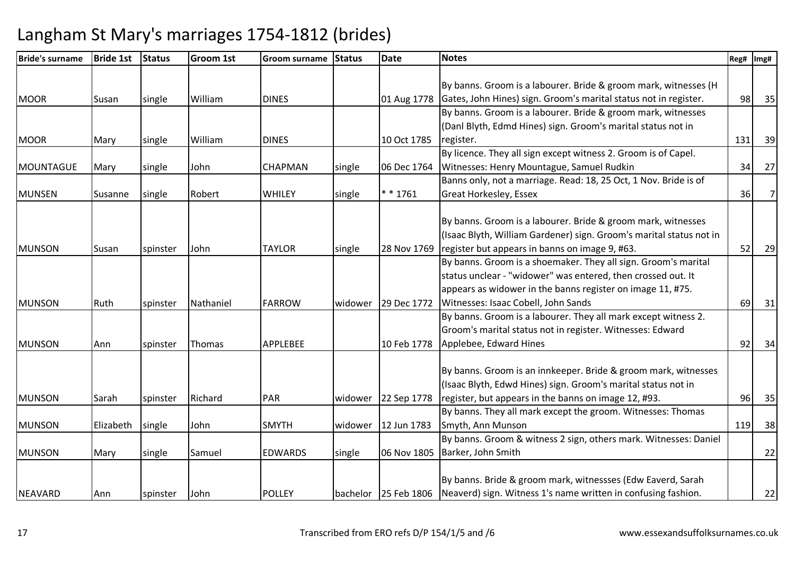| <b>Bride's surname</b> | <b>Bride 1st</b> | <b>Status</b> | <b>Groom 1st</b> | Groom surname   | <b>Status</b> | <b>Date</b> | <b>Notes</b>                                                                           | Reg# | Img#           |
|------------------------|------------------|---------------|------------------|-----------------|---------------|-------------|----------------------------------------------------------------------------------------|------|----------------|
|                        |                  |               |                  |                 |               |             |                                                                                        |      |                |
|                        |                  |               |                  |                 |               |             | By banns. Groom is a labourer. Bride & groom mark, witnesses (H                        |      |                |
| <b>MOOR</b>            | Susan            | single        | William          | <b>DINES</b>    |               | 01 Aug 1778 | Gates, John Hines) sign. Groom's marital status not in register.                       | 98   | 35             |
|                        |                  |               |                  |                 |               |             | By banns. Groom is a labourer. Bride & groom mark, witnesses                           |      |                |
|                        |                  |               |                  |                 |               |             | (Danl Blyth, Edmd Hines) sign. Groom's marital status not in                           |      |                |
| <b>MOOR</b>            | Mary             | single        | William          | <b>DINES</b>    |               | 10 Oct 1785 | register.                                                                              | 131  | 39             |
|                        |                  |               |                  |                 |               |             | By licence. They all sign except witness 2. Groom is of Capel.                         |      |                |
| <b>MOUNTAGUE</b>       | Mary             | single        | John             | <b>CHAPMAN</b>  | single        | 06 Dec 1764 | Witnesses: Henry Mountague, Samuel Rudkin                                              | 34   | 27             |
|                        |                  |               |                  |                 |               |             | Banns only, not a marriage. Read: 18, 25 Oct, 1 Nov. Bride is of                       |      |                |
| <b>MUNSEN</b>          | Susanne          | single        | Robert           | WHILEY          | single        | $* * 1761$  | Great Horkesley, Essex                                                                 | 36   | 7 <sup>1</sup> |
|                        |                  |               |                  |                 |               |             |                                                                                        |      |                |
|                        |                  |               |                  |                 |               |             | By banns. Groom is a labourer. Bride & groom mark, witnesses                           |      |                |
|                        |                  |               |                  |                 |               |             | (Isaac Blyth, William Gardener) sign. Groom's marital status not in                    |      |                |
| <b>MUNSON</b>          | Susan            | spinster      | John             | <b>TAYLOR</b>   | single        | 28 Nov 1769 | register but appears in banns on image 9, #63.                                         | 52   | 29             |
|                        |                  |               |                  |                 |               |             | By banns. Groom is a shoemaker. They all sign. Groom's marital                         |      |                |
|                        |                  |               |                  |                 |               |             | status unclear - "widower" was entered, then crossed out. It                           |      |                |
|                        |                  |               |                  |                 |               |             | appears as widower in the banns register on image 11, #75.                             |      |                |
| <b>MUNSON</b>          | Ruth             | spinster      | Nathaniel        | <b>FARROW</b>   | widower       | 29 Dec 1772 | Witnesses: Isaac Cobell, John Sands                                                    | 69   | 31             |
|                        |                  |               |                  |                 |               |             | By banns. Groom is a labourer. They all mark except witness 2.                         |      |                |
|                        |                  |               |                  |                 |               |             | Groom's marital status not in register. Witnesses: Edward                              |      |                |
| <b>MUNSON</b>          | Ann              | spinster      | Thomas           | <b>APPLEBEE</b> |               | 10 Feb 1778 | Applebee, Edward Hines                                                                 | 92   | 34             |
|                        |                  |               |                  |                 |               |             |                                                                                        |      |                |
|                        |                  |               |                  |                 |               |             | By banns. Groom is an innkeeper. Bride & groom mark, witnesses                         |      |                |
|                        |                  |               |                  |                 |               |             | (Isaac Blyth, Edwd Hines) sign. Groom's marital status not in                          |      |                |
| <b>MUNSON</b>          | Sarah            | spinster      | Richard          | <b>PAR</b>      | widower       | 22 Sep 1778 | register, but appears in the banns on image 12, #93.                                   | 96   | 35             |
|                        |                  |               |                  |                 |               |             | By banns. They all mark except the groom. Witnesses: Thomas                            |      |                |
| <b>MUNSON</b>          | Elizabeth        | single        | John             | <b>SMYTH</b>    | widower       | 12 Jun 1783 | Smyth, Ann Munson                                                                      | 119  | 38             |
|                        |                  |               |                  |                 |               |             | By banns. Groom & witness 2 sign, others mark. Witnesses: Daniel                       |      |                |
| <b>MUNSON</b>          | Mary             | single        | Samuel           | <b>EDWARDS</b>  | single        | 06 Nov 1805 | Barker, John Smith                                                                     |      | 22             |
|                        |                  |               |                  |                 |               |             |                                                                                        |      |                |
|                        |                  |               |                  |                 |               |             | By banns. Bride & groom mark, witnessses (Edw Eaverd, Sarah                            |      |                |
| <b>NEAVARD</b>         | Ann              | spinster      | John             | <b>POLLEY</b>   |               |             | bachelor   25 Feb 1806   Neaverd) sign. Witness 1's name written in confusing fashion. |      | 22             |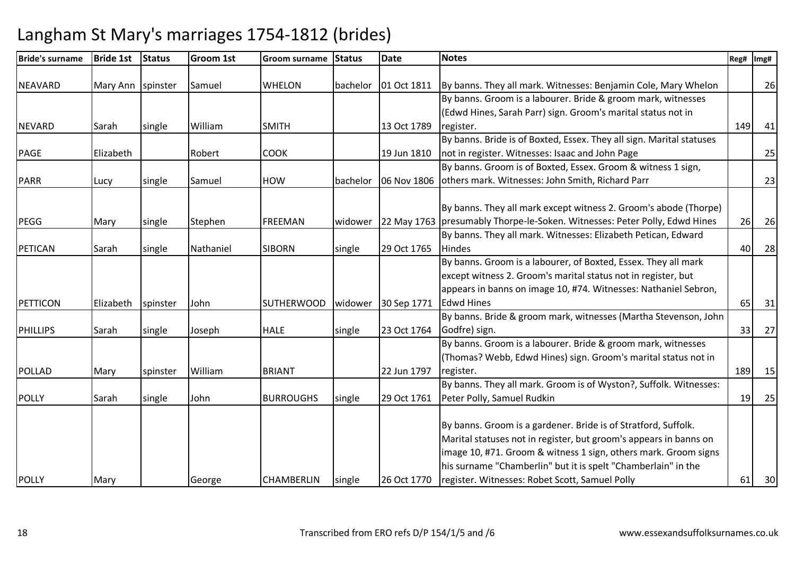| <b>Bride's surname</b> | <b>Bride 1st</b>  | <b>Status</b> | <b>Groom 1st</b> | <b>Groom surname</b> | <b>Status</b> | <b>Date</b> | <b>Notes</b>                                                                 | Reg# | Img# |
|------------------------|-------------------|---------------|------------------|----------------------|---------------|-------------|------------------------------------------------------------------------------|------|------|
| <b>NEAVARD</b>         | Mary Ann spinster |               | Samuel           | <b>WHELON</b>        | bachelor      |             | 01 Oct 1811   By banns. They all mark. Witnesses: Benjamin Cole, Mary Whelon |      | 26   |
|                        |                   |               |                  |                      |               |             | By banns. Groom is a labourer. Bride & groom mark, witnesses                 |      |      |
|                        |                   |               |                  |                      |               |             | (Edwd Hines, Sarah Parr) sign. Groom's marital status not in                 |      |      |
| <b>NEVARD</b>          | Sarah             | single        | William          | <b>SMITH</b>         |               | 13 Oct 1789 | register.                                                                    | 149  | 41   |
|                        |                   |               |                  |                      |               |             | By banns. Bride is of Boxted, Essex. They all sign. Marital statuses         |      |      |
| <b>PAGE</b>            | Elizabeth         |               | Robert           | <b>COOK</b>          |               | 19 Jun 1810 | not in register. Witnesses: Isaac and John Page                              |      | 25   |
|                        |                   |               |                  |                      |               |             | By banns. Groom is of Boxted, Essex. Groom & witness 1 sign,                 |      |      |
| <b>PARR</b>            | Lucy              | single        | Samuel           | <b>HOW</b>           | bachelor      | 06 Nov 1806 | others mark. Witnesses: John Smith, Richard Parr                             |      | 23   |
|                        |                   |               |                  |                      |               |             |                                                                              |      |      |
|                        |                   |               |                  |                      |               |             | By banns. They all mark except witness 2. Groom's abode (Thorpe)             |      |      |
| <b>PEGG</b>            | Mary              | single        | Stephen          | <b>FREEMAN</b>       | widower       |             | 22 May 1763 presumably Thorpe-le-Soken. Witnesses: Peter Polly, Edwd Hines   | 26   | 26   |
|                        |                   |               |                  |                      |               |             | By banns. They all mark. Witnesses: Elizabeth Petican, Edward                |      |      |
| <b>PETICAN</b>         | Sarah             | single        | Nathaniel        | <b>SIBORN</b>        | single        | 29 Oct 1765 | <b>Hindes</b>                                                                | 40   | 28   |
|                        |                   |               |                  |                      |               |             | By banns. Groom is a labourer, of Boxted, Essex. They all mark               |      |      |
|                        |                   |               |                  |                      |               |             | except witness 2. Groom's marital status not in register, but                |      |      |
|                        |                   |               |                  |                      |               |             | appears in banns on image 10, #74. Witnesses: Nathaniel Sebron,              |      |      |
| PETTICON               | Elizabeth         | spinster      | John             | <b>SUTHERWOOD</b>    | widower       | 30 Sep 1771 | <b>Edwd Hines</b>                                                            | 65   | 31   |
|                        |                   |               |                  |                      |               |             | By banns. Bride & groom mark, witnesses (Martha Stevenson, John              |      |      |
| <b>PHILLIPS</b>        | Sarah             | single        | Joseph           | <b>HALE</b>          | single        | 23 Oct 1764 | Godfre) sign.                                                                | 33   | 27   |
|                        |                   |               |                  |                      |               |             | By banns. Groom is a labourer. Bride & groom mark, witnesses                 |      |      |
|                        |                   |               |                  |                      |               |             | (Thomas? Webb, Edwd Hines) sign. Groom's marital status not in               |      |      |
| <b>POLLAD</b>          | Mary              | spinster      | William          | <b>BRIANT</b>        |               | 22 Jun 1797 | register.                                                                    | 189  | 15   |
|                        |                   |               |                  |                      |               |             | By banns. They all mark. Groom is of Wyston?, Suffolk. Witnesses:            |      |      |
| <b>POLLY</b>           | Sarah             | single        | John             | <b>BURROUGHS</b>     | single        | 29 Oct 1761 | Peter Polly, Samuel Rudkin                                                   | 19   | 25   |
|                        |                   |               |                  |                      |               |             |                                                                              |      |      |
|                        |                   |               |                  |                      |               |             | By banns. Groom is a gardener. Bride is of Stratford, Suffolk.               |      |      |
|                        |                   |               |                  |                      |               |             | Marital statuses not in register, but groom's appears in banns on            |      |      |
|                        |                   |               |                  |                      |               |             | image 10, #71. Groom & witness 1 sign, others mark. Groom signs              |      |      |
|                        |                   |               |                  |                      |               |             | his surname "Chamberlin" but it is spelt "Chamberlain" in the                |      |      |
| <b>POLLY</b>           | Mary              |               | George           | <b>CHAMBERLIN</b>    | single        | 26 Oct 1770 | register. Witnesses: Robet Scott, Samuel Polly                               | 61   | 30   |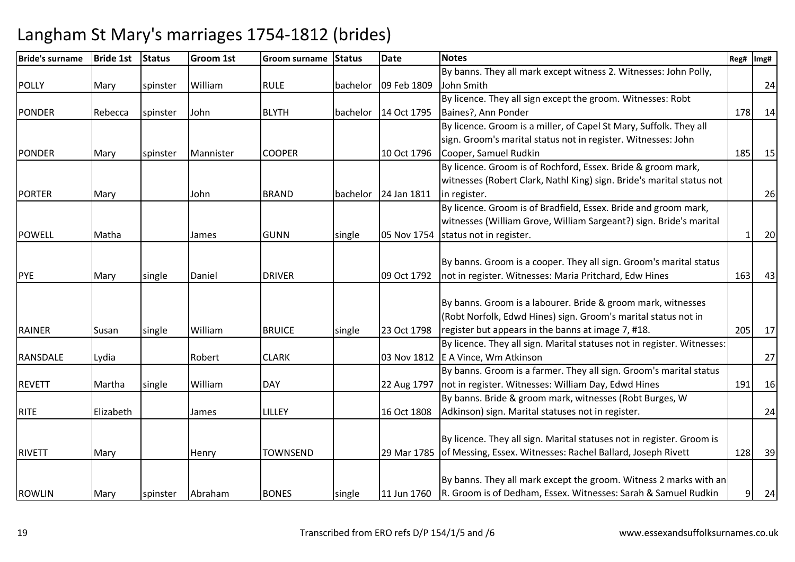| <b>Bride's surname</b> | <b>Bride 1st</b> | <b>Status</b> | <b>Groom 1st</b> | Groom surname   | <b>Status</b> | <b>Date</b> | <b>Notes</b>                                                               | Reg# | Img# |
|------------------------|------------------|---------------|------------------|-----------------|---------------|-------------|----------------------------------------------------------------------------|------|------|
|                        |                  |               |                  |                 |               |             | By banns. They all mark except witness 2. Witnesses: John Polly,           |      |      |
| <b>POLLY</b>           | Mary             | spinster      | William          | <b>RULE</b>     | bachelor      | 09 Feb 1809 | John Smith                                                                 |      | 24   |
|                        |                  |               |                  |                 |               |             | By licence. They all sign except the groom. Witnesses: Robt                |      |      |
| <b>PONDER</b>          | Rebecca          | spinster      | John             | <b>BLYTH</b>    | bachelor      | 14 Oct 1795 | Baines?, Ann Ponder                                                        | 178  | 14   |
|                        |                  |               |                  |                 |               |             | By licence. Groom is a miller, of Capel St Mary, Suffolk. They all         |      |      |
|                        |                  |               |                  |                 |               |             | sign. Groom's marital status not in register. Witnesses: John              |      |      |
| <b>PONDER</b>          | Mary             | spinster      | Mannister        | <b>COOPER</b>   |               | 10 Oct 1796 | Cooper, Samuel Rudkin                                                      | 185  | 15   |
|                        |                  |               |                  |                 |               |             | By licence. Groom is of Rochford, Essex. Bride & groom mark,               |      |      |
|                        |                  |               |                  |                 |               |             | witnesses (Robert Clark, Nathl King) sign. Bride's marital status not      |      |      |
| <b>PORTER</b>          | Mary             |               | John             | <b>BRAND</b>    | bachelor      | 24 Jan 1811 | in register.                                                               |      | 26   |
|                        |                  |               |                  |                 |               |             | By licence. Groom is of Bradfield, Essex. Bride and groom mark,            |      |      |
|                        |                  |               |                  |                 |               |             | witnesses (William Grove, William Sargeant?) sign. Bride's marital         |      |      |
| <b>POWELL</b>          | Matha            |               | James            | <b>GUNN</b>     | single        | 05 Nov 1754 | status not in register.                                                    |      | 20   |
|                        |                  |               |                  |                 |               |             |                                                                            |      |      |
|                        |                  |               |                  |                 |               |             | By banns. Groom is a cooper. They all sign. Groom's marital status         |      |      |
| <b>PYE</b>             | Mary             | single        | Daniel           | <b>DRIVER</b>   |               | 09 Oct 1792 | not in register. Witnesses: Maria Pritchard, Edw Hines                     | 163  | 43   |
|                        |                  |               |                  |                 |               |             |                                                                            |      |      |
|                        |                  |               |                  |                 |               |             | By banns. Groom is a labourer. Bride & groom mark, witnesses               |      |      |
|                        |                  |               |                  |                 |               |             | (Robt Norfolk, Edwd Hines) sign. Groom's marital status not in             |      |      |
| <b>RAINER</b>          | Susan            | single        | William          | <b>BRUICE</b>   | single        | 23 Oct 1798 | register but appears in the banns at image 7, #18.                         | 205  | 17   |
|                        |                  |               |                  |                 |               |             | By licence. They all sign. Marital statuses not in register. Witnesses:    |      |      |
| RANSDALE               | Lydia            |               | Robert           | <b>CLARK</b>    |               |             | 03 Nov 1812   E A Vince, Wm Atkinson                                       |      | 27   |
|                        |                  |               |                  |                 |               |             | By banns. Groom is a farmer. They all sign. Groom's marital status         |      |      |
| <b>REVETT</b>          | Martha           | single        | William          | <b>DAY</b>      |               | 22 Aug 1797 | not in register. Witnesses: William Day, Edwd Hines                        | 191  | 16   |
|                        |                  |               |                  |                 |               |             | By banns. Bride & groom mark, witnesses (Robt Burges, W                    |      |      |
| <b>RITE</b>            | Elizabeth        |               | James            | LILLEY          |               | 16 Oct 1808 | Adkinson) sign. Marital statuses not in register.                          |      | 24   |
|                        |                  |               |                  |                 |               |             |                                                                            |      |      |
|                        |                  |               |                  |                 |               |             | By licence. They all sign. Marital statuses not in register. Groom is      |      |      |
| <b>RIVETT</b>          | Mary             |               | Henry            | <b>TOWNSEND</b> |               |             | 29 Mar 1785 of Messing, Essex. Witnesses: Rachel Ballard, Joseph Rivett    | 128  | 39   |
|                        |                  |               |                  |                 |               |             |                                                                            |      |      |
|                        |                  |               |                  |                 |               |             | By banns. They all mark except the groom. Witness 2 marks with an          |      |      |
| <b>ROWLIN</b>          | Mary             | spinster      | Abraham          | <b>BONES</b>    | single        |             | 11 Jun 1760 R. Groom is of Dedham, Essex. Witnesses: Sarah & Samuel Rudkin | 9    | 24   |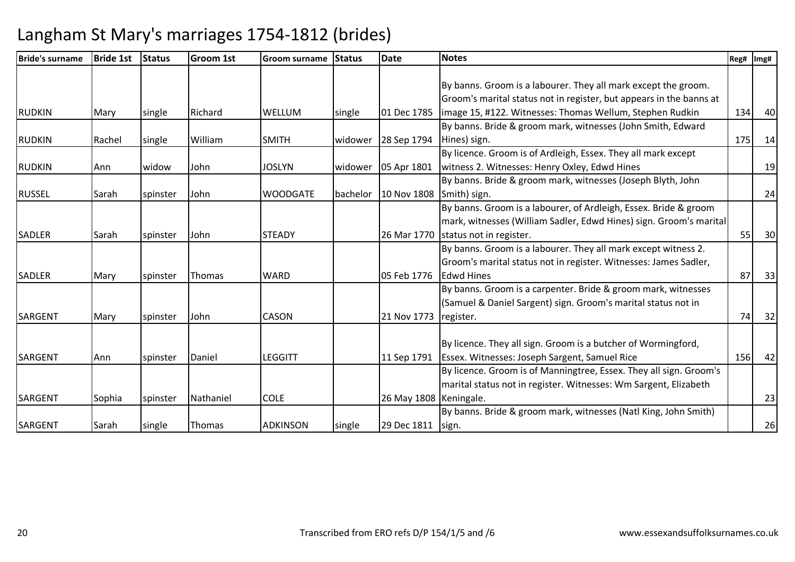| Bride's surname | Bride 1st | <b>Status</b> | <b>Groom 1st</b> | Groom surname   | <b>Status</b> | <b>Date</b>              | <b>Notes</b>                                                        | Reg# | Img# |
|-----------------|-----------|---------------|------------------|-----------------|---------------|--------------------------|---------------------------------------------------------------------|------|------|
|                 |           |               |                  |                 |               |                          |                                                                     |      |      |
|                 |           |               |                  |                 |               |                          | By banns. Groom is a labourer. They all mark except the groom.      |      |      |
|                 |           |               |                  |                 |               |                          | Groom's marital status not in register, but appears in the banns at |      |      |
| <b>RUDKIN</b>   | Mary      | single        | Richard          | <b>WELLUM</b>   | single        | 01 Dec 1785              | image 15, #122. Witnesses: Thomas Wellum, Stephen Rudkin            | 134  | 40   |
|                 |           |               |                  |                 |               |                          | By banns. Bride & groom mark, witnesses (John Smith, Edward         |      |      |
| <b>RUDKIN</b>   | Rachel    | single        | William          | <b>SMITH</b>    | widower       | 28 Sep 1794              | Hines) sign.                                                        | 175  | 14   |
|                 |           |               |                  |                 |               |                          | By licence. Groom is of Ardleigh, Essex. They all mark except       |      |      |
| <b>RUDKIN</b>   | Ann       | widow         | John             | <b>JOSLYN</b>   | widower       | 05 Apr 1801              | witness 2. Witnesses: Henry Oxley, Edwd Hines                       |      | 19   |
|                 |           |               |                  |                 |               |                          | By banns. Bride & groom mark, witnesses (Joseph Blyth, John         |      |      |
| <b>RUSSEL</b>   | Sarah     | spinster      | John             | <b>WOODGATE</b> | bachelor      | 10 Nov 1808 Smith) sign. |                                                                     |      | 24   |
|                 |           |               |                  |                 |               |                          | By banns. Groom is a labourer, of Ardleigh, Essex. Bride & groom    |      |      |
|                 |           |               |                  |                 |               |                          | mark, witnesses (William Sadler, Edwd Hines) sign. Groom's marital  |      |      |
| <b>SADLER</b>   | Sarah     | spinster      | John             | <b>STEADY</b>   |               |                          | 26 Mar 1770   status not in register.                               | 55   | 30   |
|                 |           |               |                  |                 |               |                          | By banns. Groom is a labourer. They all mark except witness 2.      |      |      |
|                 |           |               |                  |                 |               |                          | Groom's marital status not in register. Witnesses: James Sadler,    |      |      |
| <b>SADLER</b>   | Mary      | spinster      | Thomas           | WARD            |               | 05 Feb 1776              | <b>Edwd Hines</b>                                                   | 87   | 33   |
|                 |           |               |                  |                 |               |                          | By banns. Groom is a carpenter. Bride & groom mark, witnesses       |      |      |
|                 |           |               |                  |                 |               |                          | (Samuel & Daniel Sargent) sign. Groom's marital status not in       |      |      |
| <b>SARGENT</b>  | Mary      | spinster      | John             | CASON           |               | 21 Nov 1773              | register.                                                           | 74   | 32   |
|                 |           |               |                  |                 |               |                          |                                                                     |      |      |
|                 |           |               |                  |                 |               |                          | By licence. They all sign. Groom is a butcher of Wormingford,       |      |      |
| <b>SARGENT</b>  | Ann       | spinster      | Daniel           | <b>LEGGITT</b>  |               | 11 Sep 1791              | <b>Essex. Witnesses: Joseph Sargent, Samuel Rice</b>                | 156  | 42   |
|                 |           |               |                  |                 |               |                          | By licence. Groom is of Manningtree, Essex. They all sign. Groom's  |      |      |
|                 |           |               |                  |                 |               |                          | marital status not in register. Witnesses: Wm Sargent, Elizabeth    |      |      |
| <b>SARGENT</b>  | Sophia    | spinster      | Nathaniel        | <b>COLE</b>     |               | 26 May 1808 Keningale.   |                                                                     |      | 23   |
|                 |           |               |                  |                 |               |                          | By banns. Bride & groom mark, witnesses (Natl King, John Smith)     |      |      |
| SARGENT         | Sarah     | single        | Thomas           | <b>ADKINSON</b> | single        | 29 Dec 1811              | sign.                                                               |      | 26   |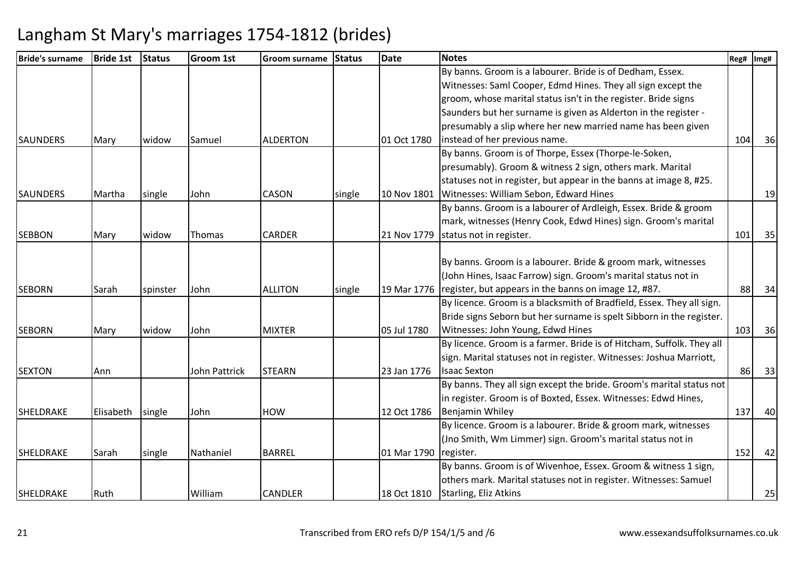| <b>Bride's surname</b> | <b>Bride 1st</b> | <b>Status</b> | <b>Groom 1st</b>     | Groom surname   | <b>Status</b> | <b>Date</b> | <b>Notes</b>                                                          | Reg# | Img# |
|------------------------|------------------|---------------|----------------------|-----------------|---------------|-------------|-----------------------------------------------------------------------|------|------|
|                        |                  |               |                      |                 |               |             | By banns. Groom is a labourer. Bride is of Dedham, Essex.             |      |      |
|                        |                  |               |                      |                 |               |             | Witnesses: Saml Cooper, Edmd Hines. They all sign except the          |      |      |
|                        |                  |               |                      |                 |               |             | groom, whose marital status isn't in the register. Bride signs        |      |      |
|                        |                  |               |                      |                 |               |             | Saunders but her surname is given as Alderton in the register -       |      |      |
|                        |                  |               |                      |                 |               |             | presumably a slip where her new married name has been given           |      |      |
| <b>SAUNDERS</b>        | Mary             | widow         | Samuel               | <b>ALDERTON</b> |               | 01 Oct 1780 | instead of her previous name.                                         | 104  | 36   |
|                        |                  |               |                      |                 |               |             | By banns. Groom is of Thorpe, Essex (Thorpe-le-Soken,                 |      |      |
|                        |                  |               |                      |                 |               |             | presumably). Groom & witness 2 sign, others mark. Marital             |      |      |
|                        |                  |               |                      |                 |               |             | statuses not in register, but appear in the banns at image 8, #25.    |      |      |
| <b>SAUNDERS</b>        | Martha           | single        | John                 | <b>CASON</b>    | single        | 10 Nov 1801 | Witnesses: William Sebon, Edward Hines                                |      | 19   |
|                        |                  |               |                      |                 |               |             | By banns. Groom is a labourer of Ardleigh, Essex. Bride & groom       |      |      |
|                        |                  |               |                      |                 |               |             | mark, witnesses (Henry Cook, Edwd Hines) sign. Groom's marital        |      |      |
| <b>SEBBON</b>          | Mary             | widow         | Thomas               | <b>CARDER</b>   |               | 21 Nov 1779 | status not in register.                                               | 101  | 35   |
|                        |                  |               |                      |                 |               |             |                                                                       |      |      |
|                        |                  |               |                      |                 |               |             | By banns. Groom is a labourer. Bride & groom mark, witnesses          |      |      |
|                        |                  |               |                      |                 |               |             | (John Hines, Isaac Farrow) sign. Groom's marital status not in        |      |      |
| <b>SEBORN</b>          | Sarah            | spinster      | John                 | <b>ALLITON</b>  | single        | 19 Mar 1776 | register, but appears in the banns on image 12, #87.                  | 88   | 34   |
|                        |                  |               |                      |                 |               |             | By licence. Groom is a blacksmith of Bradfield, Essex. They all sign. |      |      |
|                        |                  |               |                      |                 |               |             | Bride signs Seborn but her surname is spelt Sibborn in the register.  |      |      |
| <b>SEBORN</b>          | Mary             | widow         | John                 | <b>MIXTER</b>   |               | 05 Jul 1780 | Witnesses: John Young, Edwd Hines                                     | 103  | 36   |
|                        |                  |               |                      |                 |               |             | By licence. Groom is a farmer. Bride is of Hitcham, Suffolk. They all |      |      |
|                        |                  |               |                      |                 |               |             | sign. Marital statuses not in register. Witnesses: Joshua Marriott,   |      |      |
| <b>SEXTON</b>          | Ann              |               | <b>John Pattrick</b> | <b>STEARN</b>   |               | 23 Jan 1776 | <b>Isaac Sexton</b>                                                   | 86   | 33   |
|                        |                  |               |                      |                 |               |             | By banns. They all sign except the bride. Groom's marital status not  |      |      |
|                        |                  |               |                      |                 |               |             | in register. Groom is of Boxted, Essex. Witnesses: Edwd Hines,        |      |      |
| <b>SHELDRAKE</b>       | Elisabeth        | single        | John                 | <b>HOW</b>      |               | 12 Oct 1786 | Benjamin Whiley                                                       | 137  | 40   |
|                        |                  |               |                      |                 |               |             | By licence. Groom is a labourer. Bride & groom mark, witnesses        |      |      |
|                        |                  |               |                      |                 |               |             | (Jno Smith, Wm Limmer) sign. Groom's marital status not in            |      |      |
| <b>SHELDRAKE</b>       | Sarah            | single        | Nathaniel            | <b>BARREL</b>   |               | 01 Mar 1790 | register.                                                             | 152  | 42   |
|                        |                  |               |                      |                 |               |             | By banns. Groom is of Wivenhoe, Essex. Groom & witness 1 sign,        |      |      |
|                        |                  |               |                      |                 |               |             | others mark. Marital statuses not in register. Witnesses: Samuel      |      |      |
| SHELDRAKE              | Ruth             |               | William              | <b>CANDLER</b>  |               | 18 Oct 1810 | Starling, Eliz Atkins                                                 |      | 25   |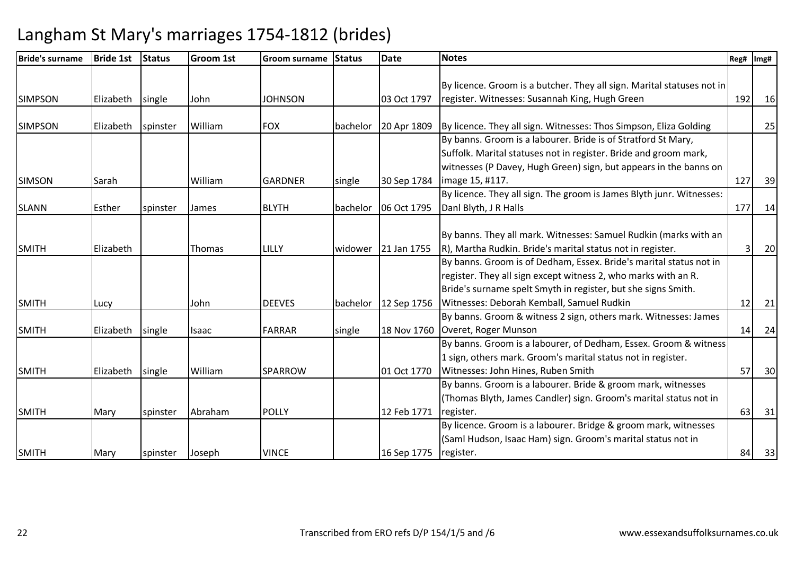| <b>Bride's surname</b> | <b>Bride 1st</b> | <b>Status</b> | Groom 1st | Groom surname  | <b>Status</b> | <b>Date</b> | <b>Notes</b>                                                           | Reg# | Img# |
|------------------------|------------------|---------------|-----------|----------------|---------------|-------------|------------------------------------------------------------------------|------|------|
|                        |                  |               |           |                |               |             |                                                                        |      |      |
|                        |                  |               |           |                |               |             | By licence. Groom is a butcher. They all sign. Marital statuses not in |      |      |
| <b>SIMPSON</b>         | Elizabeth        | single        | John      | <b>JOHNSON</b> |               | 03 Oct 1797 | register. Witnesses: Susannah King, Hugh Green                         | 192  | 16   |
|                        |                  |               |           |                |               |             |                                                                        |      |      |
| <b>SIMPSON</b>         | Elizabeth        | spinster      | William   | <b>FOX</b>     | bachelor      | 20 Apr 1809 | By licence. They all sign. Witnesses: Thos Simpson, Eliza Golding      |      | 25   |
|                        |                  |               |           |                |               |             | By banns. Groom is a labourer. Bride is of Stratford St Mary,          |      |      |
|                        |                  |               |           |                |               |             | Suffolk. Marital statuses not in register. Bride and groom mark,       |      |      |
|                        |                  |               |           |                |               |             | witnesses (P Davey, Hugh Green) sign, but appears in the banns on      |      |      |
| <b>SIMSON</b>          | Sarah            |               | William   | <b>GARDNER</b> | single        | 30 Sep 1784 | image 15, #117.                                                        | 127  | 39   |
|                        |                  |               |           |                |               |             | By licence. They all sign. The groom is James Blyth junr. Witnesses:   |      |      |
| <b>SLANN</b>           | Esther           | spinster      | James     | <b>BLYTH</b>   | bachelor      | 06 Oct 1795 | Danl Blyth, J R Halls                                                  | 177  | 14   |
|                        |                  |               |           |                |               |             |                                                                        |      |      |
|                        |                  |               |           |                |               |             | By banns. They all mark. Witnesses: Samuel Rudkin (marks with an       |      |      |
| <b>SMITH</b>           | Elizabeth        |               | Thomas    | LILLY          | widower       | 21 Jan 1755 | R), Martha Rudkin. Bride's marital status not in register.             |      | 20   |
|                        |                  |               |           |                |               |             | By banns. Groom is of Dedham, Essex. Bride's marital status not in     |      |      |
|                        |                  |               |           |                |               |             | register. They all sign except witness 2, who marks with an R.         |      |      |
|                        |                  |               |           |                |               |             | Bride's surname spelt Smyth in register, but she signs Smith.          |      |      |
| <b>SMITH</b>           | Lucy             |               | John      | <b>DEEVES</b>  | bachelor      | 12 Sep 1756 | Witnesses: Deborah Kemball, Samuel Rudkin                              | 12   | 21   |
|                        |                  |               |           |                |               |             | By banns. Groom & witness 2 sign, others mark. Witnesses: James        |      |      |
| <b>SMITH</b>           | Elizabeth        | single        | Isaac     | <b>FARRAR</b>  | single        | 18 Nov 1760 | Overet, Roger Munson                                                   | 14   | 24   |
|                        |                  |               |           |                |               |             | By banns. Groom is a labourer, of Dedham, Essex. Groom & witness       |      |      |
|                        |                  |               |           |                |               |             | 1 sign, others mark. Groom's marital status not in register.           |      |      |
| <b>SMITH</b>           | Elizabeth        | single        | William   | <b>SPARROW</b> |               | 01 Oct 1770 | Witnesses: John Hines, Ruben Smith                                     | 57   | 30   |
|                        |                  |               |           |                |               |             | By banns. Groom is a labourer. Bride & groom mark, witnesses           |      |      |
|                        |                  |               |           |                |               |             | (Thomas Blyth, James Candler) sign. Groom's marital status not in      |      |      |
| <b>SMITH</b>           | Mary             | spinster      | Abraham   | <b>POLLY</b>   |               | 12 Feb 1771 | register.                                                              | 63   | 31   |
|                        |                  |               |           |                |               |             | By licence. Groom is a labourer. Bridge & groom mark, witnesses        |      |      |
|                        |                  |               |           |                |               |             | (Saml Hudson, Isaac Ham) sign. Groom's marital status not in           |      |      |
| <b>SMITH</b>           | Mary             | spinster      | Joseph    | <b>VINCE</b>   |               | 16 Sep 1775 | register.                                                              | 84   | 33   |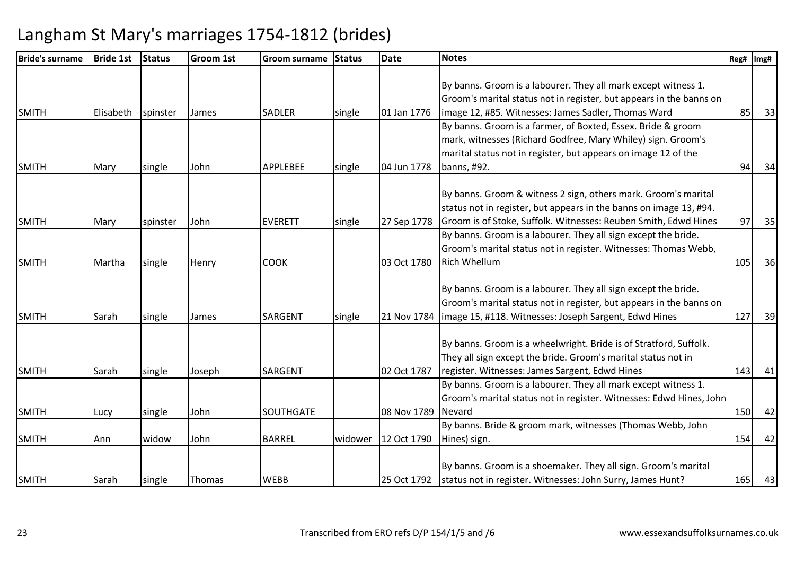| <b>Bride's surname</b> | <b>Bride 1st</b> | <b>Status</b> | <b>Groom 1st</b> | <b>Groom surname</b> | <b>Status</b> | <b>Date</b> | <b>Notes</b>                                                        | Reg# | Img# |
|------------------------|------------------|---------------|------------------|----------------------|---------------|-------------|---------------------------------------------------------------------|------|------|
|                        |                  |               |                  |                      |               |             |                                                                     |      |      |
|                        |                  |               |                  |                      |               |             | By banns. Groom is a labourer. They all mark except witness 1.      |      |      |
|                        |                  |               |                  |                      |               |             | Groom's marital status not in register, but appears in the banns on |      |      |
| <b>SMITH</b>           | Elisabeth        | spinster      | James            | <b>SADLER</b>        | single        | 01 Jan 1776 | image 12, #85. Witnesses: James Sadler, Thomas Ward                 | 85   | 33   |
|                        |                  |               |                  |                      |               |             | By banns. Groom is a farmer, of Boxted, Essex. Bride & groom        |      |      |
|                        |                  |               |                  |                      |               |             | mark, witnesses (Richard Godfree, Mary Whiley) sign. Groom's        |      |      |
|                        |                  |               |                  |                      |               |             | marital status not in register, but appears on image 12 of the      |      |      |
| <b>SMITH</b>           | Mary             | single        | John             | <b>APPLEBEE</b>      | single        | 04 Jun 1778 | banns, #92.                                                         | 94   | 34   |
|                        |                  |               |                  |                      |               |             | By banns. Groom & witness 2 sign, others mark. Groom's marital      |      |      |
|                        |                  |               |                  |                      |               |             | status not in register, but appears in the banns on image 13, #94.  |      |      |
| <b>SMITH</b>           | Mary             | spinster      | John             | <b>EVERETT</b>       | single        | 27 Sep 1778 | Groom is of Stoke, Suffolk. Witnesses: Reuben Smith, Edwd Hines     | 97   | 35   |
|                        |                  |               |                  |                      |               |             | By banns. Groom is a labourer. They all sign except the bride.      |      |      |
|                        |                  |               |                  |                      |               |             | Groom's marital status not in register. Witnesses: Thomas Webb,     |      |      |
| <b>SMITH</b>           | Martha           | single        | Henry            | <b>COOK</b>          |               | 03 Oct 1780 | <b>Rich Whellum</b>                                                 | 105  | 36   |
|                        |                  |               |                  |                      |               |             |                                                                     |      |      |
|                        |                  |               |                  |                      |               |             | By banns. Groom is a labourer. They all sign except the bride.      |      |      |
|                        |                  |               |                  |                      |               |             | Groom's marital status not in register, but appears in the banns on |      |      |
| <b>SMITH</b>           | Sarah            | single        | James            | SARGENT              | single        |             | 21 Nov 1784   image 15, #118. Witnesses: Joseph Sargent, Edwd Hines | 127  | 39   |
|                        |                  |               |                  |                      |               |             |                                                                     |      |      |
|                        |                  |               |                  |                      |               |             | By banns. Groom is a wheelwright. Bride is of Stratford, Suffolk.   |      |      |
|                        |                  |               |                  |                      |               |             | They all sign except the bride. Groom's marital status not in       |      |      |
| <b>SMITH</b>           | Sarah            | single        | Joseph           | <b>SARGENT</b>       |               | 02 Oct 1787 | register. Witnesses: James Sargent, Edwd Hines                      | 143  | 41   |
|                        |                  |               |                  |                      |               |             | By banns. Groom is a labourer. They all mark except witness 1.      |      |      |
|                        |                  |               |                  |                      |               |             | Groom's marital status not in register. Witnesses: Edwd Hines, John |      |      |
| <b>SMITH</b>           | Lucy             | single        | John             | SOUTHGATE            |               | 08 Nov 1789 | Nevard                                                              | 150  | 42   |
|                        |                  |               |                  |                      |               |             | By banns. Bride & groom mark, witnesses (Thomas Webb, John          |      |      |
| <b>SMITH</b>           | Ann              | widow         | John             | <b>BARREL</b>        | widower       | 12 Oct 1790 | Hines) sign.                                                        | 154  | 42   |
|                        |                  |               |                  |                      |               |             |                                                                     |      |      |
|                        |                  |               |                  |                      |               |             | By banns. Groom is a shoemaker. They all sign. Groom's marital      |      |      |
| <b>SMITH</b>           | Sarah            | single        | Thomas           | <b>WEBB</b>          |               | 25 Oct 1792 | status not in register. Witnesses: John Surry, James Hunt?          | 165  | 43   |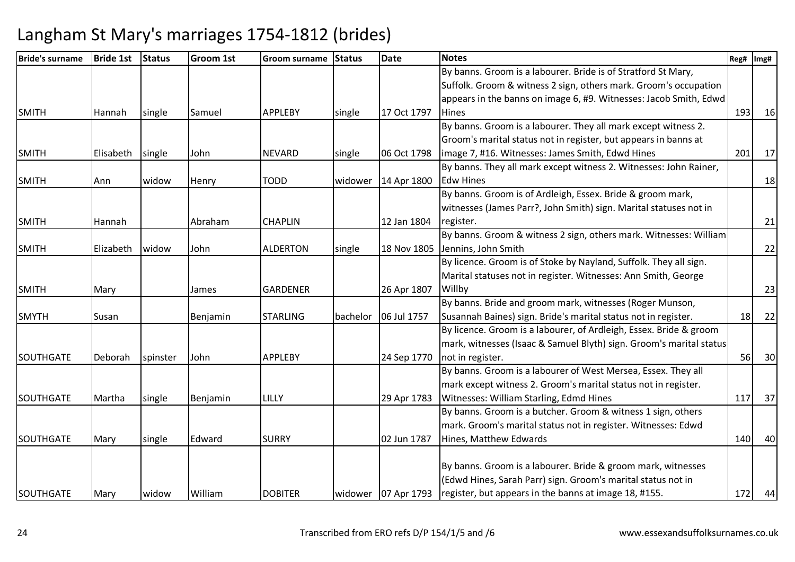| <b>Bride's surname</b> | <b>Bride 1st</b> | <b>Status</b> | <b>Groom 1st</b> | Groom surname   | <b>Status</b> | <b>Date</b>           | <b>Notes</b>                                                        | Reg# | Img# |
|------------------------|------------------|---------------|------------------|-----------------|---------------|-----------------------|---------------------------------------------------------------------|------|------|
|                        |                  |               |                  |                 |               |                       | By banns. Groom is a labourer. Bride is of Stratford St Mary,       |      |      |
|                        |                  |               |                  |                 |               |                       | Suffolk. Groom & witness 2 sign, others mark. Groom's occupation    |      |      |
|                        |                  |               |                  |                 |               |                       | appears in the banns on image 6, #9. Witnesses: Jacob Smith, Edwd   |      |      |
| <b>SMITH</b>           | Hannah           | single        | Samuel           | <b>APPLEBY</b>  | single        | 17 Oct 1797           | <b>Hines</b>                                                        | 193  | 16   |
|                        |                  |               |                  |                 |               |                       | By banns. Groom is a labourer. They all mark except witness 2.      |      |      |
|                        |                  |               |                  |                 |               |                       | Groom's marital status not in register, but appears in banns at     |      |      |
| <b>SMITH</b>           | Elisabeth        | single        | John             | <b>NEVARD</b>   | single        | 06 Oct 1798           | image 7, #16. Witnesses: James Smith, Edwd Hines                    | 201  | 17   |
|                        |                  |               |                  |                 |               |                       | By banns. They all mark except witness 2. Witnesses: John Rainer,   |      |      |
| <b>SMITH</b>           | Ann              | widow         | Henry            | <b>TODD</b>     | widower       | 14 Apr 1800           | <b>Edw Hines</b>                                                    |      | 18   |
|                        |                  |               |                  |                 |               |                       | By banns. Groom is of Ardleigh, Essex. Bride & groom mark,          |      |      |
|                        |                  |               |                  |                 |               |                       | witnesses (James Parr?, John Smith) sign. Marital statuses not in   |      |      |
| <b>SMITH</b>           | Hannah           |               | Abraham          | <b>CHAPLIN</b>  |               | 12 Jan 1804           | register.                                                           |      | 21   |
|                        |                  |               |                  |                 |               |                       | By banns. Groom & witness 2 sign, others mark. Witnesses: William   |      |      |
| <b>SMITH</b>           | Elizabeth        | widow         | John             | <b>ALDERTON</b> | single        | 18 Nov 1805           | Jennins, John Smith                                                 |      | 22   |
|                        |                  |               |                  |                 |               |                       | By licence. Groom is of Stoke by Nayland, Suffolk. They all sign.   |      |      |
|                        |                  |               |                  |                 |               |                       | Marital statuses not in register. Witnesses: Ann Smith, George      |      |      |
| <b>SMITH</b>           | Mary             |               | James            | <b>GARDENER</b> |               | 26 Apr 1807           | Willby                                                              |      | 23   |
|                        |                  |               |                  |                 |               |                       | By banns. Bride and groom mark, witnesses (Roger Munson,            |      |      |
| <b>SMYTH</b>           | Susan            |               | Benjamin         | <b>STARLING</b> | bachelor      | 06 Jul 1757           | Susannah Baines) sign. Bride's marital status not in register.      | 18   | 22   |
|                        |                  |               |                  |                 |               |                       | By licence. Groom is a labourer, of Ardleigh, Essex. Bride & groom  |      |      |
|                        |                  |               |                  |                 |               |                       | mark, witnesses (Isaac & Samuel Blyth) sign. Groom's marital status |      |      |
| <b>SOUTHGATE</b>       | Deborah          | spinster      | John             | <b>APPLEBY</b>  |               | 24 Sep 1770           | not in register.                                                    | 56   | 30   |
|                        |                  |               |                  |                 |               |                       | By banns. Groom is a labourer of West Mersea, Essex. They all       |      |      |
|                        |                  |               |                  |                 |               |                       | mark except witness 2. Groom's marital status not in register.      |      |      |
| <b>SOUTHGATE</b>       | Martha           | single        | Benjamin         | LILLY           |               | 29 Apr 1783           | Witnesses: William Starling, Edmd Hines                             | 117  | 37   |
|                        |                  |               |                  |                 |               |                       | By banns. Groom is a butcher. Groom & witness 1 sign, others        |      |      |
|                        |                  |               |                  |                 |               |                       | mark. Groom's marital status not in register. Witnesses: Edwd       |      |      |
| <b>SOUTHGATE</b>       | Mary             | single        | Edward           | <b>SURRY</b>    |               | 02 Jun 1787           | Hines, Matthew Edwards                                              | 140  | 40   |
|                        |                  |               |                  |                 |               |                       |                                                                     |      |      |
|                        |                  |               |                  |                 |               |                       | By banns. Groom is a labourer. Bride & groom mark, witnesses        |      |      |
|                        |                  |               |                  |                 |               |                       | (Edwd Hines, Sarah Parr) sign. Groom's marital status not in        |      |      |
| SOUTHGATE              | Mary             | widow         | William          | <b>DOBITER</b>  |               | widower   07 Apr 1793 | register, but appears in the banns at image 18, #155.               | 172  | 44   |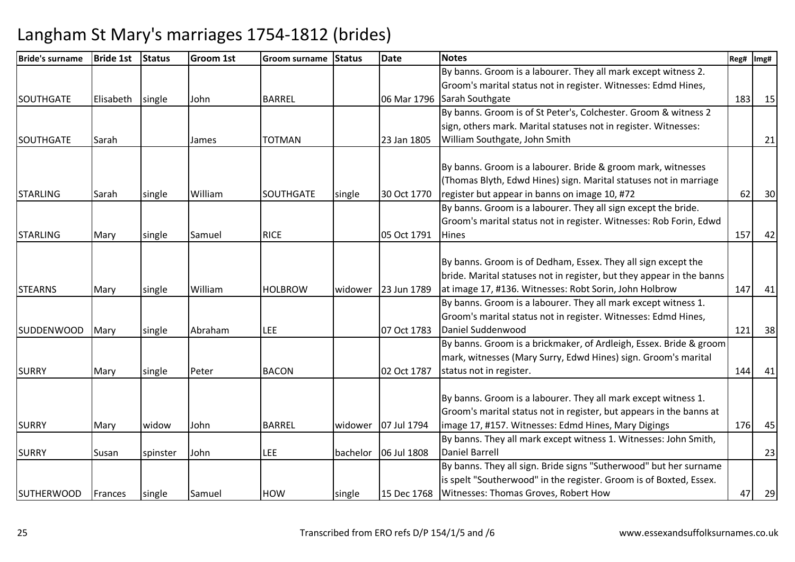| Bride's surname   | <b>Bride 1st</b> | <b>Status</b> | Groom 1st | <b>Groom surname</b> | <b>Status</b> | Date        | <b>Notes</b>                                                          | Reg# | Img# |
|-------------------|------------------|---------------|-----------|----------------------|---------------|-------------|-----------------------------------------------------------------------|------|------|
|                   |                  |               |           |                      |               |             | By banns. Groom is a labourer. They all mark except witness 2.        |      |      |
|                   |                  |               |           |                      |               |             | Groom's marital status not in register. Witnesses: Edmd Hines,        |      |      |
| <b>SOUTHGATE</b>  | Elisabeth        | single        | John      | <b>BARREL</b>        |               | 06 Mar 1796 | Sarah Southgate                                                       | 183  | 15   |
|                   |                  |               |           |                      |               |             | By banns. Groom is of St Peter's, Colchester. Groom & witness 2       |      |      |
|                   |                  |               |           |                      |               |             | sign, others mark. Marital statuses not in register. Witnesses:       |      |      |
| <b>SOUTHGATE</b>  | Sarah            |               | James     | <b>TOTMAN</b>        |               | 23 Jan 1805 | William Southgate, John Smith                                         |      | 21   |
|                   |                  |               |           |                      |               |             |                                                                       |      |      |
|                   |                  |               |           |                      |               |             | By banns. Groom is a labourer. Bride & groom mark, witnesses          |      |      |
|                   |                  |               |           |                      |               |             | (Thomas Blyth, Edwd Hines) sign. Marital statuses not in marriage     |      |      |
| <b>STARLING</b>   | Sarah            | single        | William   | SOUTHGATE            | single        | 30 Oct 1770 | register but appear in banns on image 10, #72                         | 62   | 30   |
|                   |                  |               |           |                      |               |             | By banns. Groom is a labourer. They all sign except the bride.        |      |      |
|                   |                  |               |           |                      |               |             | Groom's marital status not in register. Witnesses: Rob Forin, Edwd    |      |      |
| <b>STARLING</b>   | Mary             | single        | Samuel    | <b>RICE</b>          |               | 05 Oct 1791 | <b>Hines</b>                                                          | 157  | 42   |
|                   |                  |               |           |                      |               |             |                                                                       |      |      |
|                   |                  |               |           |                      |               |             | By banns. Groom is of Dedham, Essex. They all sign except the         |      |      |
|                   |                  |               |           |                      |               |             | bride. Marital statuses not in register, but they appear in the banns |      |      |
| <b>STEARNS</b>    | Mary             | single        | William   | <b>HOLBROW</b>       | widower       | 23 Jun 1789 | at image 17, #136. Witnesses: Robt Sorin, John Holbrow                | 147  | 41   |
|                   |                  |               |           |                      |               |             | By banns. Groom is a labourer. They all mark except witness 1.        |      |      |
|                   |                  |               |           |                      |               |             | Groom's marital status not in register. Witnesses: Edmd Hines,        |      |      |
| <b>SUDDENWOOD</b> | Mary             | single        | Abraham   | <b>LEE</b>           |               | 07 Oct 1783 | Daniel Suddenwood                                                     | 121  | 38   |
|                   |                  |               |           |                      |               |             | By banns. Groom is a brickmaker, of Ardleigh, Essex. Bride & groom    |      |      |
|                   |                  |               |           |                      |               |             | mark, witnesses (Mary Surry, Edwd Hines) sign. Groom's marital        |      |      |
| <b>SURRY</b>      | Mary             | single        | Peter     | <b>BACON</b>         |               | 02 Oct 1787 | status not in register.                                               | 144  | 41   |
|                   |                  |               |           |                      |               |             |                                                                       |      |      |
|                   |                  |               |           |                      |               |             | By banns. Groom is a labourer. They all mark except witness 1.        |      |      |
|                   |                  |               |           |                      |               |             | Groom's marital status not in register, but appears in the banns at   |      |      |
| <b>SURRY</b>      | Mary             | widow         | John      | <b>BARREL</b>        | widower       | 07 Jul 1794 | image 17, #157. Witnesses: Edmd Hines, Mary Digings                   | 176  | 45   |
|                   |                  |               |           |                      |               |             | By banns. They all mark except witness 1. Witnesses: John Smith,      |      |      |
| <b>SURRY</b>      | Susan            | spinster      | John      | LEE                  | bachelor      | 06 Jul 1808 | <b>Daniel Barrell</b>                                                 |      | 23   |
|                   |                  |               |           |                      |               |             | By banns. They all sign. Bride signs "Sutherwood" but her surname     |      |      |
|                   |                  |               |           |                      |               |             | is spelt "Southerwood" in the register. Groom is of Boxted, Essex.    |      |      |
| <b>SUTHERWOOD</b> | Frances          | single        | Samuel    | <b>HOW</b>           | single        | 15 Dec 1768 | Witnesses: Thomas Groves, Robert How                                  | 47   | 29   |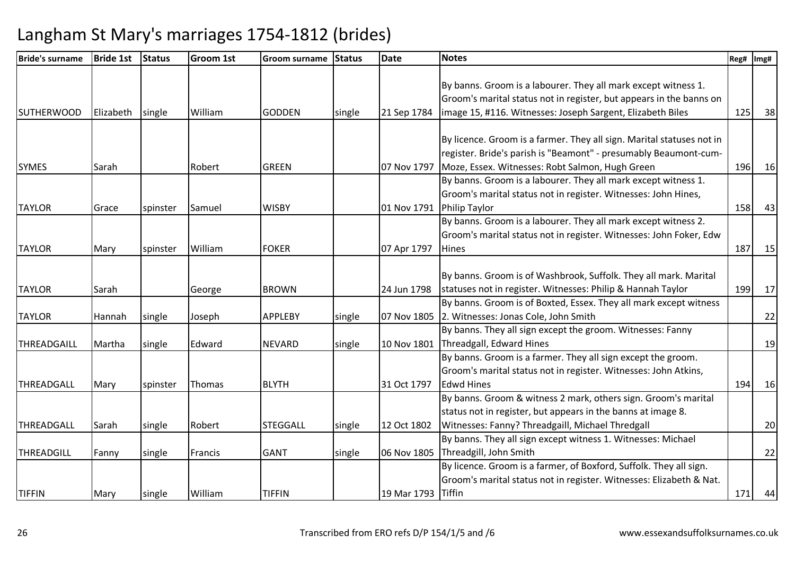| <b>Bride's surname</b> | <b>Bride 1st</b> | <b>Status</b> | <b>Groom 1st</b> | <b>Groom surname</b> | <b>Status</b> | <b>Date</b> | <b>Notes</b>                                                          | Reg# Img# |    |
|------------------------|------------------|---------------|------------------|----------------------|---------------|-------------|-----------------------------------------------------------------------|-----------|----|
|                        |                  |               |                  |                      |               |             |                                                                       |           |    |
|                        |                  |               |                  |                      |               |             | By banns. Groom is a labourer. They all mark except witness 1.        |           |    |
|                        |                  |               |                  |                      |               |             | Groom's marital status not in register, but appears in the banns on   |           |    |
| <b>SUTHERWOOD</b>      | Elizabeth        | single        | William          | <b>GODDEN</b>        | single        | 21 Sep 1784 | image 15, #116. Witnesses: Joseph Sargent, Elizabeth Biles            | 125       | 38 |
|                        |                  |               |                  |                      |               |             |                                                                       |           |    |
|                        |                  |               |                  |                      |               |             | By licence. Groom is a farmer. They all sign. Marital statuses not in |           |    |
|                        |                  |               |                  |                      |               |             | register. Bride's parish is "Beamont" - presumably Beaumont-cum-      |           |    |
| <b>SYMES</b>           | Sarah            |               | Robert           | <b>GREEN</b>         |               | 07 Nov 1797 | Moze, Essex. Witnesses: Robt Salmon, Hugh Green                       | 196       | 16 |
|                        |                  |               |                  |                      |               |             | By banns. Groom is a labourer. They all mark except witness 1.        |           |    |
|                        |                  |               |                  |                      |               |             | Groom's marital status not in register. Witnesses: John Hines,        |           |    |
| <b>TAYLOR</b>          | Grace            | spinster      | Samuel           | <b>WISBY</b>         |               | 01 Nov 1791 | <b>Philip Taylor</b>                                                  | 158       | 43 |
|                        |                  |               |                  |                      |               |             | By banns. Groom is a labourer. They all mark except witness 2.        |           |    |
|                        |                  |               |                  |                      |               |             | Groom's marital status not in register. Witnesses: John Foker, Edw    |           |    |
| <b>TAYLOR</b>          | Mary             | spinster      | William          | <b>FOKER</b>         |               | 07 Apr 1797 | <b>Hines</b>                                                          | 187       | 15 |
|                        |                  |               |                  |                      |               |             |                                                                       |           |    |
|                        |                  |               |                  |                      |               |             | By banns. Groom is of Washbrook, Suffolk. They all mark. Marital      |           |    |
| <b>TAYLOR</b>          | Sarah            |               | George           | <b>BROWN</b>         |               | 24 Jun 1798 | statuses not in register. Witnesses: Philip & Hannah Taylor           | 199       | 17 |
|                        |                  |               |                  |                      |               |             | By banns. Groom is of Boxted, Essex. They all mark except witness     |           |    |
| <b>TAYLOR</b>          | Hannah           | single        | Joseph           | <b>APPLEBY</b>       | single        | 07 Nov 1805 | 2. Witnesses: Jonas Cole, John Smith                                  |           | 22 |
|                        |                  |               |                  |                      |               |             | By banns. They all sign except the groom. Witnesses: Fanny            |           |    |
| THREADGAILL            | Martha           | single        | Edward           | <b>NEVARD</b>        | single        | 10 Nov 1801 | Threadgall, Edward Hines                                              |           | 19 |
|                        |                  |               |                  |                      |               |             | By banns. Groom is a farmer. They all sign except the groom.          |           |    |
|                        |                  |               |                  |                      |               |             | Groom's marital status not in register. Witnesses: John Atkins,       |           |    |
| THREADGALL             | Mary             | spinster      | Thomas           | <b>BLYTH</b>         |               | 31 Oct 1797 | <b>Edwd Hines</b>                                                     | 194       | 16 |
|                        |                  |               |                  |                      |               |             | By banns. Groom & witness 2 mark, others sign. Groom's marital        |           |    |
|                        |                  |               |                  |                      |               |             | status not in register, but appears in the banns at image 8.          |           |    |
| THREADGALL             | Sarah            | single        | Robert           | <b>STEGGALL</b>      | single        | 12 Oct 1802 | Witnesses: Fanny? Threadgaill, Michael Thredgall                      |           | 20 |
|                        |                  |               |                  |                      |               |             | By banns. They all sign except witness 1. Witnesses: Michael          |           |    |
| THREADGILL             | Fanny            | single        | Francis          | <b>GANT</b>          | single        | 06 Nov 1805 | Threadgill, John Smith                                                |           | 22 |
|                        |                  |               |                  |                      |               |             | By licence. Groom is a farmer, of Boxford, Suffolk. They all sign.    |           |    |
|                        |                  |               |                  |                      |               |             | Groom's marital status not in register. Witnesses: Elizabeth & Nat.   |           |    |
| <b>TIFFIN</b>          | Mary             | single        | William          | <b>TIFFIN</b>        |               | 19 Mar 1793 | Tiffin                                                                | 171       | 44 |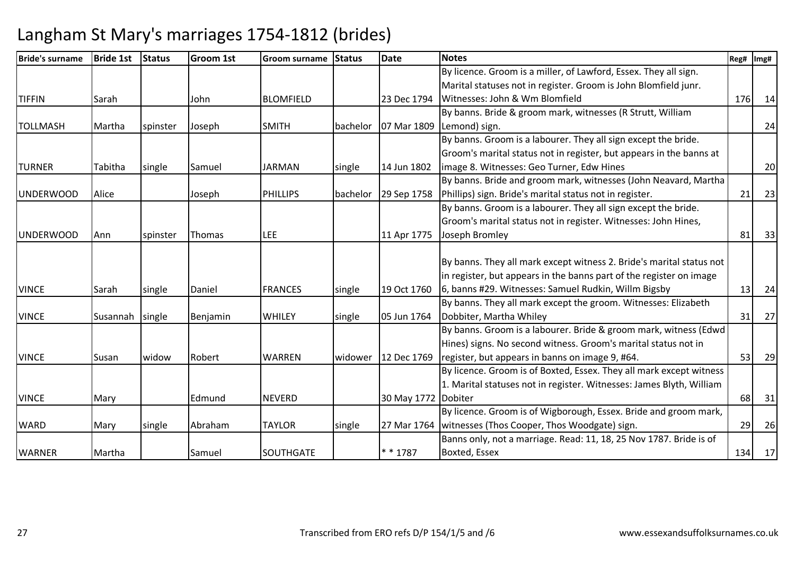| <b>Bride's surname</b> | <b>Bride 1st</b> | <b>Status</b> | <b>Groom 1st</b> | Groom surname    | <b>Status</b> | <b>Date</b>         | <b>Notes</b>                                                         | Reg# | Img# |
|------------------------|------------------|---------------|------------------|------------------|---------------|---------------------|----------------------------------------------------------------------|------|------|
|                        |                  |               |                  |                  |               |                     | By licence. Groom is a miller, of Lawford, Essex. They all sign.     |      |      |
|                        |                  |               |                  |                  |               |                     | Marital statuses not in register. Groom is John Blomfield junr.      |      |      |
| <b>TIFFIN</b>          | Sarah            |               | John             | <b>BLOMFIELD</b> |               | 23 Dec 1794         | Witnesses: John & Wm Blomfield                                       | 176  | 14   |
|                        |                  |               |                  |                  |               |                     | By banns. Bride & groom mark, witnesses (R Strutt, William           |      |      |
| <b>TOLLMASH</b>        | Martha           | spinster      | Joseph           | <b>SMITH</b>     | bachelor      | 07 Mar 1809         | Lemond) sign.                                                        |      | 24   |
|                        |                  |               |                  |                  |               |                     | By banns. Groom is a labourer. They all sign except the bride.       |      |      |
|                        |                  |               |                  |                  |               |                     | Groom's marital status not in register, but appears in the banns at  |      |      |
| <b>TURNER</b>          | Tabitha          | single        | Samuel           | <b>JARMAN</b>    | single        | 14 Jun 1802         | limage 8. Witnesses: Geo Turner, Edw Hines                           |      | 20   |
|                        |                  |               |                  |                  |               |                     | By banns. Bride and groom mark, witnesses (John Neavard, Martha      |      |      |
| <b>UNDERWOOD</b>       | Alice            |               | Joseph           | <b>PHILLIPS</b>  | bachelor      | 29 Sep 1758         | Phillips) sign. Bride's marital status not in register.              | 21   | 23   |
|                        |                  |               |                  |                  |               |                     | By banns. Groom is a labourer. They all sign except the bride.       |      |      |
|                        |                  |               |                  |                  |               |                     | Groom's marital status not in register. Witnesses: John Hines,       |      |      |
| <b>UNDERWOOD</b>       | Ann              | spinster      | Thomas           | <b>LEE</b>       |               | 11 Apr 1775         | Joseph Bromley                                                       | 81   | 33   |
|                        |                  |               |                  |                  |               |                     |                                                                      |      |      |
|                        |                  |               |                  |                  |               |                     | By banns. They all mark except witness 2. Bride's marital status not |      |      |
|                        |                  |               |                  |                  |               |                     | in register, but appears in the banns part of the register on image  |      |      |
| <b>VINCE</b>           | Sarah            | single        | Daniel           | <b>FRANCES</b>   | single        | 19 Oct 1760         | 6, banns #29. Witnesses: Samuel Rudkin, Willm Bigsby                 | 13   | 24   |
|                        |                  |               |                  |                  |               |                     | By banns. They all mark except the groom. Witnesses: Elizabeth       |      |      |
| <b>VINCE</b>           | Susannah         | single        | Benjamin         | <b>WHILEY</b>    | single        | 05 Jun 1764         | Dobbiter, Martha Whiley                                              | 31   | 27   |
|                        |                  |               |                  |                  |               |                     | By banns. Groom is a labourer. Bride & groom mark, witness (Edwd     |      |      |
|                        |                  |               |                  |                  |               |                     | Hines) signs. No second witness. Groom's marital status not in       |      |      |
| <b>VINCE</b>           | Susan            | widow         | Robert           | <b>WARREN</b>    | widower       | 12 Dec 1769         | register, but appears in banns on image 9, #64.                      | 53   | 29   |
|                        |                  |               |                  |                  |               |                     | By licence. Groom is of Boxted, Essex. They all mark except witness  |      |      |
|                        |                  |               |                  |                  |               |                     | 1. Marital statuses not in register. Witnesses: James Blyth, William |      |      |
| <b>VINCE</b>           | Mary             |               | Edmund           | <b>NEVERD</b>    |               | 30 May 1772 Dobiter |                                                                      | 68   | 31   |
|                        |                  |               |                  |                  |               |                     | By licence. Groom is of Wigborough, Essex. Bride and groom mark,     |      |      |
| <b>WARD</b>            | Mary             | single        | Abraham          | <b>TAYLOR</b>    | single        | 27 Mar 1764         | witnesses (Thos Cooper, Thos Woodgate) sign.                         | 29   | 26   |
|                        |                  |               |                  |                  |               |                     | Banns only, not a marriage. Read: 11, 18, 25 Nov 1787. Bride is of   |      |      |
| <b>WARNER</b>          | Martha           |               | Samuel           | SOUTHGATE        |               | * * 1787            | Boxted, Essex                                                        | 134  | 17   |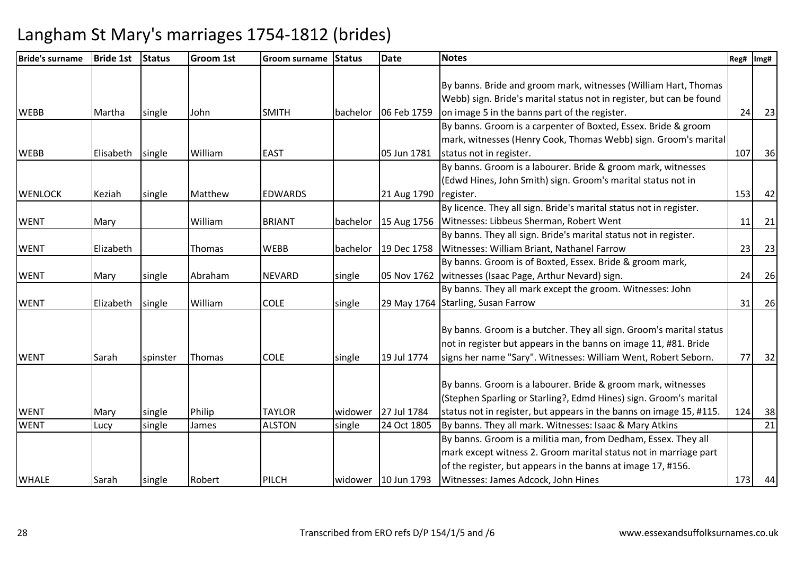| <b>Bride's surname</b> | <b>Bride 1st</b> | <b>Status</b> | <b>Groom 1st</b> | <b>Groom surname</b> | <b>Status</b> | <b>Date</b>         | <b>Notes</b>                                                         | Reg# | Img# |
|------------------------|------------------|---------------|------------------|----------------------|---------------|---------------------|----------------------------------------------------------------------|------|------|
|                        |                  |               |                  |                      |               |                     |                                                                      |      |      |
|                        |                  |               |                  |                      |               |                     | By banns. Bride and groom mark, witnesses (William Hart, Thomas      |      |      |
|                        |                  |               |                  |                      |               |                     | Webb) sign. Bride's marital status not in register, but can be found |      |      |
| <b>WEBB</b>            | Martha           | single        | John             | <b>SMITH</b>         | bachelor      | 06 Feb 1759         | on image 5 in the banns part of the register.                        | 24   | 23   |
|                        |                  |               |                  |                      |               |                     | By banns. Groom is a carpenter of Boxted, Essex. Bride & groom       |      |      |
|                        |                  |               |                  |                      |               |                     | mark, witnesses (Henry Cook, Thomas Webb) sign. Groom's marital      |      |      |
| <b>WEBB</b>            | Elisabeth        | single        | William          | <b>EAST</b>          |               | 05 Jun 1781         | status not in register.                                              | 107  | 36   |
|                        |                  |               |                  |                      |               |                     | By banns. Groom is a labourer. Bride & groom mark, witnesses         |      |      |
|                        |                  |               |                  |                      |               |                     | (Edwd Hines, John Smith) sign. Groom's marital status not in         |      |      |
| <b>WENLOCK</b>         | Keziah           | single        | Matthew          | <b>EDWARDS</b>       |               | 21 Aug 1790         | register.                                                            | 153  | 42   |
|                        |                  |               |                  |                      |               |                     | By licence. They all sign. Bride's marital status not in register.   |      |      |
| <b>WENT</b>            | Mary             |               | William          | <b>BRIANT</b>        | bachelor      |                     | 15 Aug 1756   Witnesses: Libbeus Sherman, Robert Went                | 11   | 21   |
|                        |                  |               |                  |                      |               |                     | By banns. They all sign. Bride's marital status not in register.     |      |      |
| <b>WENT</b>            | Elizabeth        |               | Thomas           | <b>WEBB</b>          | bachelor      | 19 Dec 1758         | Witnesses: William Briant, Nathanel Farrow                           | 23   | 23   |
|                        |                  |               |                  |                      |               |                     | By banns. Groom is of Boxted, Essex. Bride & groom mark,             |      |      |
| <b>WENT</b>            | Mary             | single        | Abraham          | <b>NEVARD</b>        | single        |                     | 05 Nov 1762   witnesses (Isaac Page, Arthur Nevard) sign.            | 24   | 26   |
|                        |                  |               |                  |                      |               |                     | By banns. They all mark except the groom. Witnesses: John            |      |      |
| <b>WENT</b>            | Elizabeth        | single        | William          | <b>COLE</b>          | single        |                     | 29 May 1764 Starling, Susan Farrow                                   | 31   | 26   |
|                        |                  |               |                  |                      |               |                     |                                                                      |      |      |
|                        |                  |               |                  |                      |               |                     | By banns. Groom is a butcher. They all sign. Groom's marital status  |      |      |
|                        |                  |               |                  |                      |               |                     | not in register but appears in the banns on image 11, #81. Bride     |      |      |
| <b>WENT</b>            | Sarah            | spinster      | Thomas           | <b>COLE</b>          | single        | 19 Jul 1774         | signs her name "Sary". Witnesses: William Went, Robert Seborn.       | 77   | 32   |
|                        |                  |               |                  |                      |               |                     | By banns. Groom is a labourer. Bride & groom mark, witnesses         |      |      |
|                        |                  |               |                  |                      |               |                     | (Stephen Sparling or Starling?, Edmd Hines) sign. Groom's marital    |      |      |
|                        |                  |               |                  |                      |               |                     |                                                                      | 124  |      |
| <b>WENT</b>            | Mary             | single        | Philip           | <b>TAYLOR</b>        | widower       | 27 Jul 1784         | status not in register, but appears in the banns on image 15, #115.  |      | 38   |
| <b>WENT</b>            | Lucy             | single        | James            | <b>ALSTON</b>        | single        | 24 Oct 1805         | By banns. They all mark. Witnesses: Isaac & Mary Atkins              |      | 21   |
|                        |                  |               |                  |                      |               |                     | By banns. Groom is a militia man, from Dedham, Essex. They all       |      |      |
|                        |                  |               |                  |                      |               |                     | mark except witness 2. Groom marital status not in marriage part     |      |      |
|                        |                  |               |                  |                      |               |                     | of the register, but appears in the banns at image 17, #156.         |      |      |
| <b>WHALE</b>           | Sarah            | single        | Robert           | PILCH                |               | widower 10 Jun 1793 | Witnesses: James Adcock, John Hines                                  | 173  | 44   |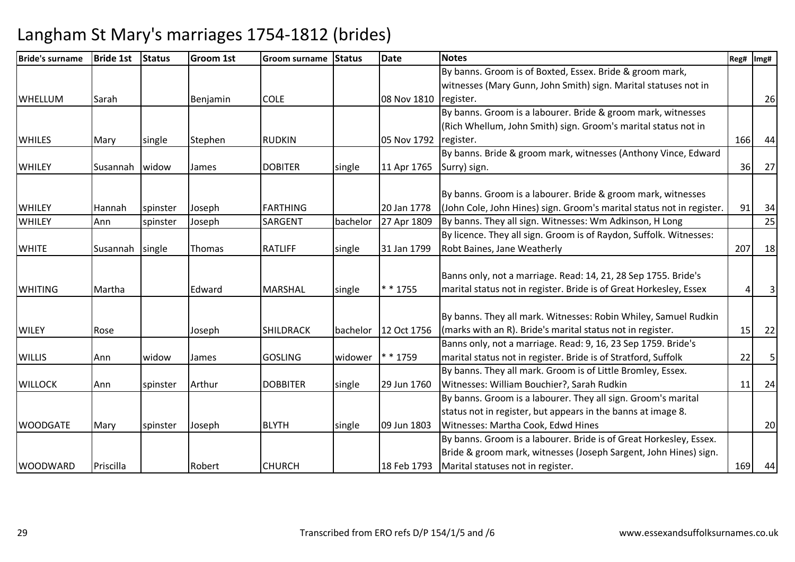| <b>Bride's surname</b> | <b>Bride 1st</b> | <b>Status</b> | <b>Groom 1st</b> | <b>Groom surname</b> | <b>Status</b> | <b>Date</b> | <b>Notes</b>                                                          | Reg# | Img# |
|------------------------|------------------|---------------|------------------|----------------------|---------------|-------------|-----------------------------------------------------------------------|------|------|
|                        |                  |               |                  |                      |               |             | By banns. Groom is of Boxted, Essex. Bride & groom mark,              |      |      |
|                        |                  |               |                  |                      |               |             | witnesses (Mary Gunn, John Smith) sign. Marital statuses not in       |      |      |
| <b>WHELLUM</b>         | Sarah            |               | Benjamin         | <b>COLE</b>          |               | 08 Nov 1810 | register.                                                             |      | 26   |
|                        |                  |               |                  |                      |               |             | By banns. Groom is a labourer. Bride & groom mark, witnesses          |      |      |
|                        |                  |               |                  |                      |               |             | (Rich Whellum, John Smith) sign. Groom's marital status not in        |      |      |
| <b>WHILES</b>          | Mary             | single        | Stephen          | <b>RUDKIN</b>        |               | 05 Nov 1792 | register.                                                             | 166  | 44   |
|                        |                  |               |                  |                      |               |             | By banns. Bride & groom mark, witnesses (Anthony Vince, Edward        |      |      |
| <b>WHILEY</b>          | <b>Susannah</b>  | widow         | James            | <b>DOBITER</b>       | single        | 11 Apr 1765 | Surry) sign.                                                          | 36   | 27   |
|                        |                  |               |                  |                      |               |             |                                                                       |      |      |
|                        |                  |               |                  |                      |               |             | By banns. Groom is a labourer. Bride & groom mark, witnesses          |      |      |
| <b>WHILEY</b>          | <b>Hannah</b>    | spinster      | Joseph           | <b>FARTHING</b>      |               | 20 Jan 1778 | (John Cole, John Hines) sign. Groom's marital status not in register. | 91   | 34   |
| <b>WHILEY</b>          | Ann              | spinster      | Joseph           | SARGENT              | bachelor      | 27 Apr 1809 | By banns. They all sign. Witnesses: Wm Adkinson, H Long               |      | 25   |
|                        |                  |               |                  |                      |               |             | By licence. They all sign. Groom is of Raydon, Suffolk. Witnesses:    |      |      |
| <b>WHITE</b>           | Susannah         | single        | Thomas           | <b>RATLIFF</b>       | single        | 31 Jan 1799 | Robt Baines, Jane Weatherly                                           | 207  | 18   |
|                        |                  |               |                  |                      |               |             |                                                                       |      |      |
|                        |                  |               |                  |                      |               |             | Banns only, not a marriage. Read: 14, 21, 28 Sep 1755. Bride's        |      |      |
| <b>WHITING</b>         | Martha           |               | Edward           | <b>MARSHAL</b>       | single        | * * 1755    | marital status not in register. Bride is of Great Horkesley, Essex    |      |      |
|                        |                  |               |                  |                      |               |             |                                                                       |      |      |
|                        |                  |               |                  |                      |               |             | By banns. They all mark. Witnesses: Robin Whiley, Samuel Rudkin       |      |      |
| <b>WILEY</b>           | Rose             |               | Joseph           | <b>SHILDRACK</b>     | bachelor      | 12 Oct 1756 | (marks with an R). Bride's marital status not in register.            | 15   | 22   |
|                        |                  |               |                  |                      |               |             | Banns only, not a marriage. Read: 9, 16, 23 Sep 1759. Bride's         |      |      |
| <b>WILLIS</b>          | Ann              | widow         | James            | <b>GOSLING</b>       | widower       | * 1759      | marital status not in register. Bride is of Stratford, Suffolk        | 22   | 5    |
|                        |                  |               |                  |                      |               |             | By banns. They all mark. Groom is of Little Bromley, Essex.           |      |      |
| <b>WILLOCK</b>         | Ann              | spinster      | Arthur           | <b>DOBBITER</b>      | single        | 29 Jun 1760 | Witnesses: William Bouchier?, Sarah Rudkin                            | 11   | 24   |
|                        |                  |               |                  |                      |               |             | By banns. Groom is a labourer. They all sign. Groom's marital         |      |      |
|                        |                  |               |                  |                      |               |             | status not in register, but appears in the banns at image 8.          |      |      |
| <b>WOODGATE</b>        | Mary             | spinster      | Joseph           | <b>BLYTH</b>         | single        | 09 Jun 1803 | Witnesses: Martha Cook, Edwd Hines                                    |      | 20   |
|                        |                  |               |                  |                      |               |             | By banns. Groom is a labourer. Bride is of Great Horkesley, Essex.    |      |      |
|                        |                  |               |                  |                      |               |             | Bride & groom mark, witnesses (Joseph Sargent, John Hines) sign.      |      |      |
| <b>WOODWARD</b>        | Priscilla        |               | Robert           | <b>CHURCH</b>        |               | 18 Feb 1793 | Marital statuses not in register.                                     | 169  | 44   |